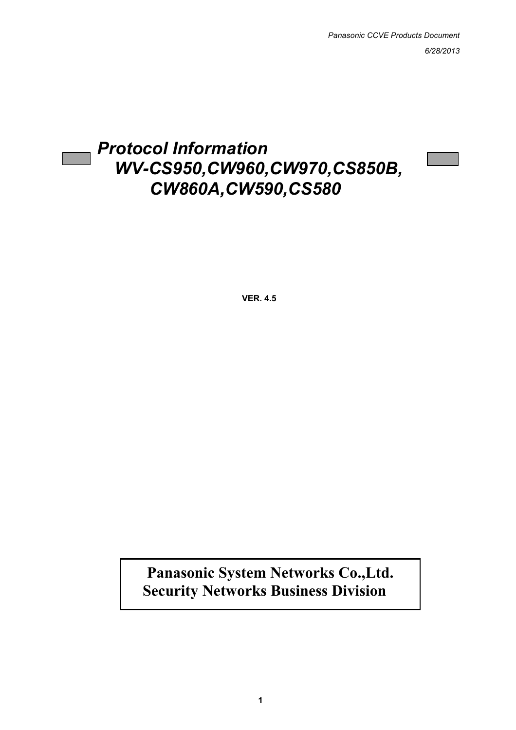# *Protocol Information WV-CS950,CW960,CW970,CS850B, CW860A,CW590,CS580*

**VER. 4.5**

**Panasonic System Networks Co.,Ltd. Security Networks Business Division**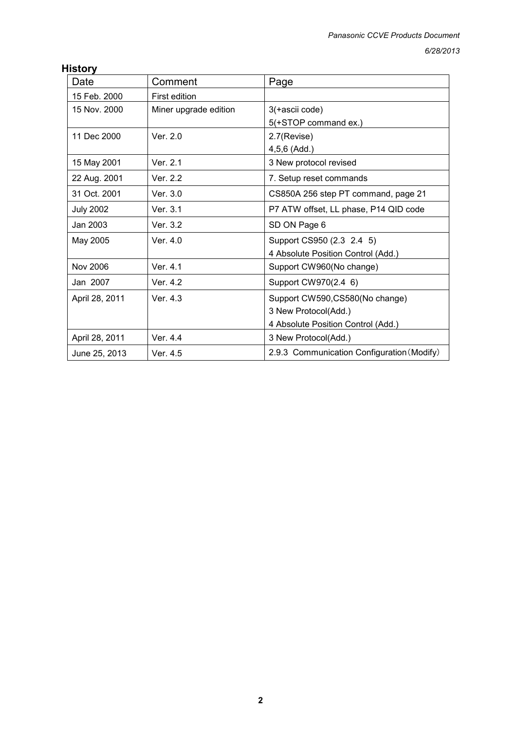#### **History**

| Date             | Comment               | Page                                       |
|------------------|-----------------------|--------------------------------------------|
| 15 Feb. 2000     | <b>First edition</b>  |                                            |
| 15 Nov. 2000     | Miner upgrade edition | 3(+ascii code)                             |
|                  |                       | 5(+STOP command ex.)                       |
| 11 Dec 2000      | Ver. $2.0$            | 2.7(Revise)                                |
|                  |                       | 4,5,6 (Add.)                               |
| 15 May 2001      | Ver. 2.1              | 3 New protocol revised                     |
| 22 Aug. 2001     | Ver. 2.2              | 7. Setup reset commands                    |
| 31 Oct. 2001     | Ver. 3.0              | CS850A 256 step PT command, page 21        |
| <b>July 2002</b> | Ver. 3.1              | P7 ATW offset, LL phase, P14 QID code      |
| Jan 2003         | Ver. 3.2              | SD ON Page 6                               |
| May 2005         | Ver. $4.0$            | Support CS950 (2.3 2.4 5)                  |
|                  |                       | 4 Absolute Position Control (Add.)         |
| Nov 2006         | Ver. 4.1              | Support CW960(No change)                   |
| Jan 2007         | Ver. 4.2              | Support CW970(2.4 6)                       |
| April 28, 2011   | Ver. 4.3              | Support CW590, CS580 (No change)           |
|                  |                       | 3 New Protocol(Add.)                       |
|                  |                       | 4 Absolute Position Control (Add.)         |
| April 28, 2011   | Ver. 4.4              | 3 New Protocol(Add.)                       |
| June 25, 2013    | Ver. 4.5              | 2.9.3 Communication Configuration (Modify) |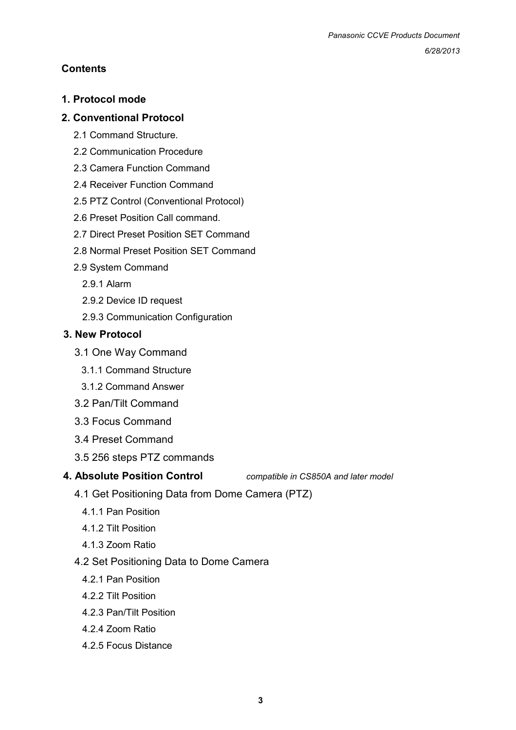## **Contents**

## **1. Protocol mode**

## **2. Conventional Protocol**

- 2.1 Command Structure.
- 2.2 Communication Procedure
- 2.3 Camera Function Command
- 2.4 Receiver Function Command
- 2.5 PTZ Control (Conventional Protocol)
- 2.6 Preset Position Call command.
- 2.7 Direct Preset Position SET Command
- 2.8 Normal Preset Position SET Command
- 2.9 System Command
	- 2.9.1 Alarm
	- 2.9.2 Device ID request
	- 2.9.3 Communication Configuration

## **3. New Protocol**

- 3.1 One Way Command
	- 3.1.1 Command Structure
	- 3.1.2 Command Answer
- 3.2 Pan/Tilt Command
- 3.3 Focus Command
- 3.4 Preset Command
- 3.5 256 steps PTZ commands

**4. Absolute Position Control** *compatible in CS850A and later model*

- 4.1 Get Positioning Data from Dome Camera (PTZ)
	- 4.1.1 Pan Position
	- 4.1.2 Tilt Position
	- 4.1.3 Zoom Ratio
- 4.2 Set Positioning Data to Dome Camera
	- 4.2.1 Pan Position
	- 4.2.2 Tilt Position
	- 4.2.3 Pan/Tilt Position
	- 4.2.4 Zoom Ratio
	- 4.2.5 Focus Distance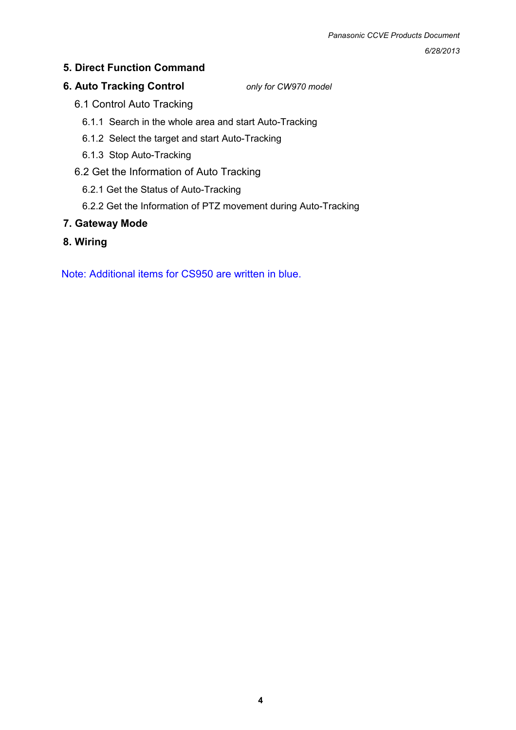## **5. Direct Function Command**

## **6. Auto Tracking Control** *only for CW970 model*

- 6.1 Control Auto Tracking
	- 6.1.1 Search in the whole area and start Auto-Tracking
	- 6.1.2 Select the target and start Auto-Tracking
	- 6.1.3 Stop Auto-Tracking
- 6.2 Get the Information of Auto Tracking
	- 6.2.1 Get the Status of Auto-Tracking
	- 6.2.2 Get the Information of PTZ movement during Auto-Tracking

## **7. Gateway Mode**

**8. Wiring** 

Note: Additional items for CS950 are written in blue.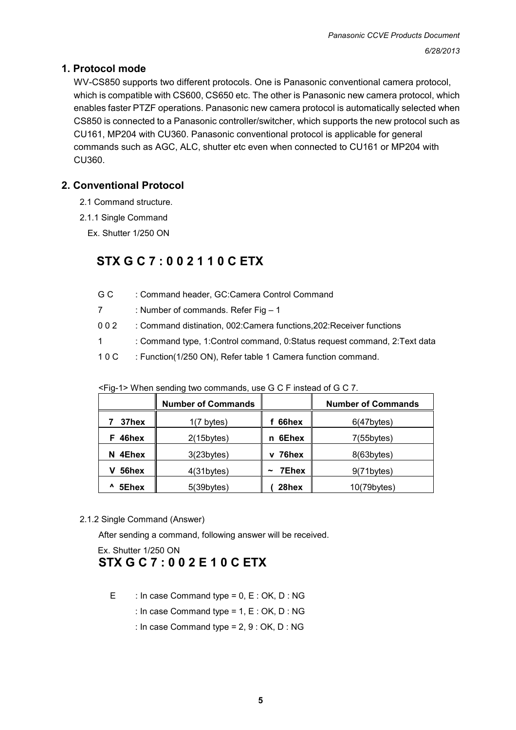## **1. Protocol mode**

WV-CS850 supports two different protocols. One is Panasonic conventional camera protocol, which is compatible with CS600, CS650 etc. The other is Panasonic new camera protocol, which enables faster PTZF operations. Panasonic new camera protocol is automatically selected when CS850 is connected to a Panasonic controller/switcher, which supports the new protocol such as CU161, MP204 with CU360. Panasonic conventional protocol is applicable for general commands such as AGC, ALC, shutter etc even when connected to CU161 or MP204 with CU360.

### **2. Conventional Protocol**

- 2.1 Command structure.
- 2.1.1 Single Command
	- Ex. Shutter 1/250 ON

## **STX G C 7 : 0 0 2 1 1 0 C ETX**

| G C         | : Command header, GC:Camera Control Command                              |
|-------------|--------------------------------------------------------------------------|
| $7^{\circ}$ | : Number of commands. Refer Fig $-1$                                     |
| 002         | : Command distination, 002: Camera functions, 202: Receiver functions    |
| 1           | : Command type, 1:Control command, 0:Status request command, 2:Text data |
| 10C         | : Function(1/250 ON), Refer table 1 Camera function command.             |
|             |                                                                          |
|             |                                                                          |

|            | <b>Number of Commands</b> |                                | <b>Number of Commands</b> |
|------------|---------------------------|--------------------------------|---------------------------|
| 37hex      | $1(7 \text{ bytes})$      | 66hex                          | $6(47$ bytes)             |
| F 46hex    | $2(15$ bytes)             | 6Ehex<br>n                     | $7(55$ bytes)             |
| 4Ehex<br>N | $3(23$ bytes $)$          | 76hex<br>v                     | $8(63$ bytes)             |
| 56hex      | 4(31 bytes)               | 7Ehex<br>$\tilde{\phantom{a}}$ | 9(71 bytes)               |
| Λ<br>5Ehex | $5(39b$ ytes)             | 28hex                          | $10(79$ bytes)            |

<Fig-1> When sending two commands, use G C F instead of G C 7.

2.1.2 Single Command (Answer)

After sending a command, following answer will be received.

## Ex. Shutter 1/250 ON  **STX G C 7 : 0 0 2 E 1 0 C ETX**

- E : In case Command type =  $0, E : OK, D : NG$ 
	- : In case Command type = 1, E : OK, D : NG
	- : In case Command type = 2, 9 : OK, D : NG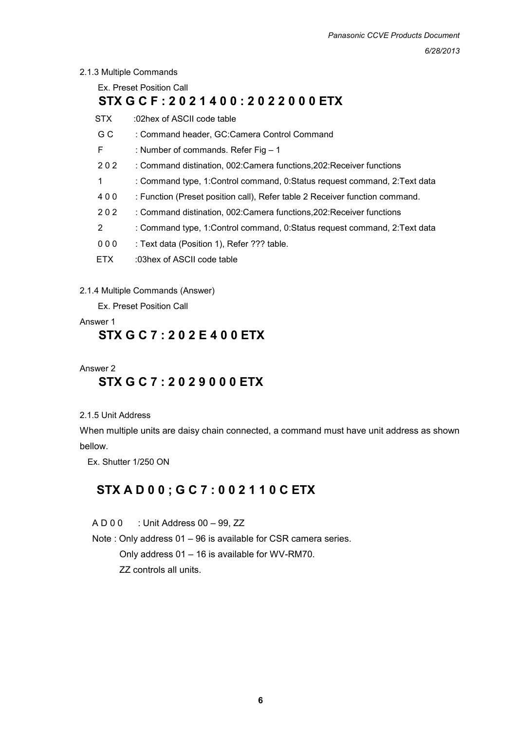#### 2.1.3 Multiple Commands

Ex. Preset Position Call **STX G C F : 2 0 2 1 4 0 0 : 2 0 2 2 0 0 0 ETX**  STX :02hex of ASCII code table G C : Command header, GC:Camera Control Command F : Number of commands. Refer Fig – 1

- 2 0 2 : Command distination, 002: Camera functions, 202: Receiver functions
- 1 : Command type, 1:Control command, 0:Status request command, 2:Text data
- 4 0 0 : Function (Preset position call), Refer table 2 Receiver function command.
- 2 0 2 : Command distination, 002: Camera functions, 202: Receiver functions
- 2 : Command type, 1:Control command, 0:Status request command, 2:Text data
- 0 0 0 : Text data (Position 1), Refer ??? table.
- ETX :03hex of ASCII code table

#### 2.1.4 Multiple Commands (Answer)

Ex. Preset Position Call

#### Answer 1

## **STX G C 7 : 2 0 2 E 4 0 0 ETX**

#### Answer 2

## **STX G C 7 : 2 0 2 9 0 0 0 ETX**

#### 2.1.5 Unit Address

When multiple units are daisy chain connected, a command must have unit address as shown bellow.

Ex. Shutter 1/250 ON

## **STX A D 0 0 ; G C 7 : 0 0 2 1 1 0 C ETX**

A D 0 0 : Unit Address 00 – 99, ZZ

Note : Only address 01 – 96 is available for CSR camera series.

 Only address 01 – 16 is available for WV-RM70. ZZ controls all units.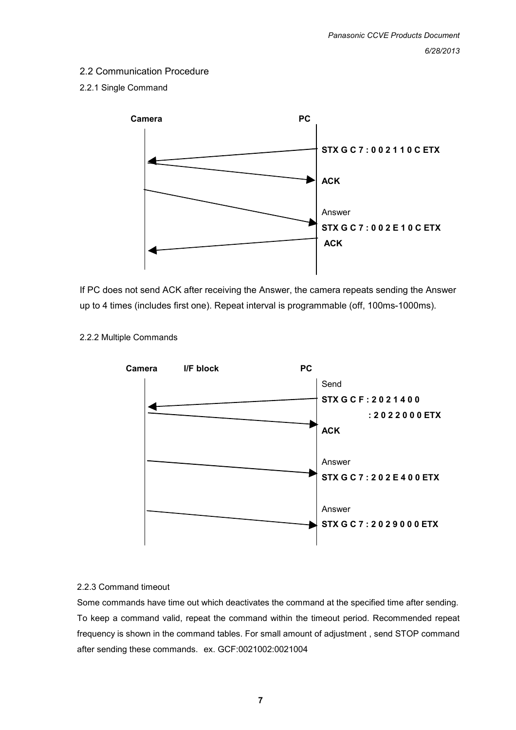## 2.2 Communication Procedure

#### 2.2.1 Single Command



If PC does not send ACK after receiving the Answer, the camera repeats sending the Answer up to 4 times (includes first one). Repeat interval is programmable (off, 100ms-1000ms).



#### 2.2.2 Multiple Commands

#### 2.2.3 Command timeout

Some commands have time out which deactivates the command at the specified time after sending. To keep a command valid, repeat the command within the timeout period. Recommended repeat frequency is shown in the command tables. For small amount of adjustment , send STOP command after sending these commands. ex. GCF:0021002:0021004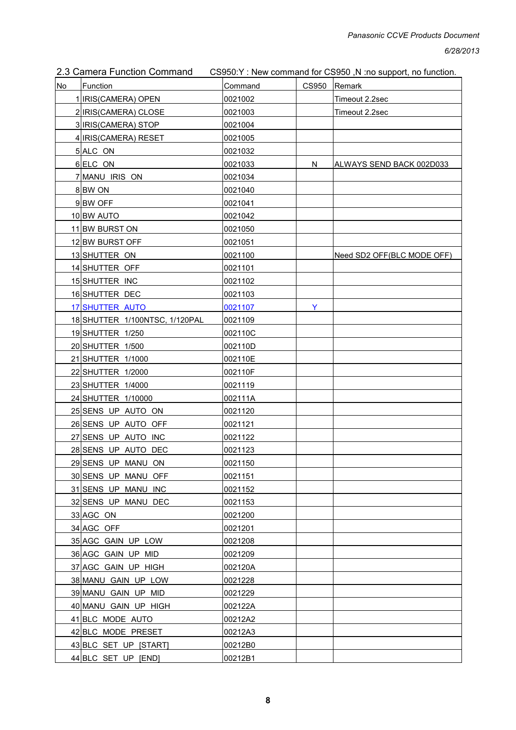|  | 2.3 Camera Function Command | CS950:Y: New command for CS950, N:no support, no function. |
|--|-----------------------------|------------------------------------------------------------|
|--|-----------------------------|------------------------------------------------------------|

| No | Function                       | Command | CS950 | Remark                     |
|----|--------------------------------|---------|-------|----------------------------|
|    | 1 IRIS(CAMERA) OPEN            | 0021002 |       | Timeout 2.2sec             |
|    | 2 IRIS(CAMERA) CLOSE           | 0021003 |       | Timeout 2.2sec             |
|    | 3 IRIS(CAMERA) STOP            | 0021004 |       |                            |
|    | 4 IRIS(CAMERA) RESET           | 0021005 |       |                            |
|    | 5 ALC ON                       | 0021032 |       |                            |
|    | 6 ELC ON                       | 0021033 | N     | ALWAYS SEND BACK 002D033   |
|    | 7 MANU IRIS ON                 | 0021034 |       |                            |
|    | 8BW ON                         | 0021040 |       |                            |
|    | 9BW OFF                        | 0021041 |       |                            |
|    | 10 BW AUTO                     | 0021042 |       |                            |
|    | 11 BW BURST ON                 | 0021050 |       |                            |
|    | 12 BW BURST OFF                | 0021051 |       |                            |
|    | 13 SHUTTER ON                  | 0021100 |       | Need SD2 OFF(BLC MODE OFF) |
|    | 14 SHUTTER OFF                 | 0021101 |       |                            |
|    | 15 SHUTTER INC                 | 0021102 |       |                            |
|    | 16 SHUTTER DEC                 | 0021103 |       |                            |
|    | 17 SHUTTER AUTO                | 0021107 | Y     |                            |
|    | 18 SHUTTER 1/100NTSC, 1/120PAL | 0021109 |       |                            |
|    | 19 SHUTTER 1/250               | 002110C |       |                            |
|    | 20 SHUTTER 1/500               | 002110D |       |                            |
|    | 21 SHUTTER 1/1000              | 002110E |       |                            |
|    | 22 SHUTTER 1/2000              | 002110F |       |                            |
|    | 23 SHUTTER 1/4000              | 0021119 |       |                            |
|    | 24 SHUTTER 1/10000             | 002111A |       |                            |
|    | 25 SENS UP AUTO ON             | 0021120 |       |                            |
|    | 26 SENS UP AUTO OFF            | 0021121 |       |                            |
|    | 27 SENS UP AUTO INC            | 0021122 |       |                            |
|    | 28 SENS UP AUTO DEC            | 0021123 |       |                            |
|    | 29 SENS UP MANU ON             | 0021150 |       |                            |
|    | 30 SENS UP MANU OFF            | 0021151 |       |                            |
|    | 31 SENS UP MANU INC            | 0021152 |       |                            |
|    | 32 SENS UP MANU DEC            | 0021153 |       |                            |
|    | 33 AGC ON                      | 0021200 |       |                            |
|    | 34 AGC OFF                     | 0021201 |       |                            |
|    | 35 AGC GAIN UP LOW             | 0021208 |       |                            |
|    | 36 AGC GAIN UP MID             | 0021209 |       |                            |
|    | 37 AGC GAIN UP HIGH            | 002120A |       |                            |
|    | 38 MANU GAIN UP LOW            | 0021228 |       |                            |
|    | 39 MANU GAIN UP MID            | 0021229 |       |                            |
|    | 40 MANU GAIN UP HIGH           | 002122A |       |                            |
|    | 41 BLC MODE AUTO               | 00212A2 |       |                            |
|    | 42 BLC MODE PRESET             | 00212A3 |       |                            |
|    | 43 BLC SET UP [START]          | 00212B0 |       |                            |
|    | 44 BLC SET UP [END]            | 00212B1 |       |                            |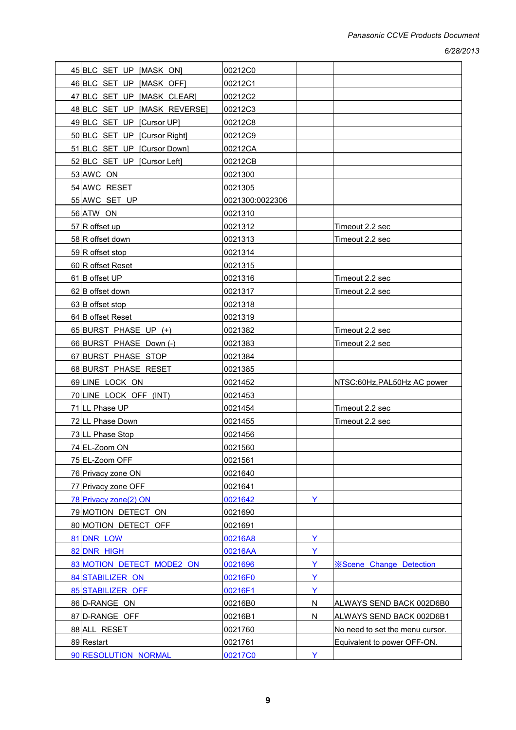| 45 BLC SET UP [MASK ON]      | 00212C0         |   |                                 |
|------------------------------|-----------------|---|---------------------------------|
| 46 BLC SET UP [MASK OFF]     | 00212C1         |   |                                 |
| 47 BLC SET UP [MASK CLEAR]   | 00212C2         |   |                                 |
| 48 BLC SET UP [MASK REVERSE] | 00212C3         |   |                                 |
| 49 BLC SET UP [Cursor UP]    | 00212C8         |   |                                 |
| 50 BLC SET UP [Cursor Right] | 00212C9         |   |                                 |
| 51 BLC SET UP [Cursor Down]  | 00212CA         |   |                                 |
| 52 BLC SET UP [Cursor Left]  | 00212CB         |   |                                 |
| 53 AWC ON                    | 0021300         |   |                                 |
| 54 AWC RESET                 | 0021305         |   |                                 |
| 55 AWC SET UP                | 0021300:0022306 |   |                                 |
| 56 ATW ON                    | 0021310         |   |                                 |
| 57 R offset up               | 0021312         |   | Timeout 2.2 sec                 |
| 58 R offset down             | 0021313         |   | Timeout 2.2 sec                 |
| 59 R offset stop             | 0021314         |   |                                 |
| 60 R offset Reset            | 0021315         |   |                                 |
| 61 B offset UP               | 0021316         |   | Timeout 2.2 sec                 |
| 62 B offset down             | 0021317         |   | Timeout 2.2 sec                 |
| 63 B offset stop             | 0021318         |   |                                 |
| 64 B offset Reset            | 0021319         |   |                                 |
| 65 BURST PHASE UP (+)        | 0021382         |   | Timeout 2.2 sec                 |
| 66 BURST PHASE Down (-)      | 0021383         |   | Timeout 2.2 sec                 |
| 67 BURST PHASE STOP          | 0021384         |   |                                 |
| 68 BURST PHASE RESET         | 0021385         |   |                                 |
| 69 LINE LOCK ON              | 0021452         |   | NTSC:60Hz, PAL50Hz AC power     |
| 70 LINE LOCK OFF (INT)       | 0021453         |   |                                 |
| 71 LL Phase UP               | 0021454         |   | Timeout 2.2 sec                 |
| 72 LL Phase Down             | 0021455         |   | Timeout 2.2 sec                 |
| 73 LL Phase Stop             | 0021456         |   |                                 |
| 74 EL-Zoom ON                | 0021560         |   |                                 |
| 75 EL-Zoom OFF               | 0021561         |   |                                 |
| 76 Privacy zone ON           | 0021640         |   |                                 |
| 77 Privacy zone OFF          | 0021641         |   |                                 |
| 78 Privacy zone(2) ON        | 0021642         | Y |                                 |
| 79 MOTION DETECT ON          | 0021690         |   |                                 |
| 80 MOTION DETECT OFF         | 0021691         |   |                                 |
| 81 DNR LOW                   | 00216A8         | Y |                                 |
| 82 DNR HIGH                  | 00216AA         | Ÿ |                                 |
| 83 MOTION DETECT MODE2 ON    | 0021696         | Y | <b>※Scene Change Detection</b>  |
| 84 STABILIZER ON             | 00216F0         | Ÿ |                                 |
| 85 STABILIZER OFF            | 00216F1         | Y |                                 |
| 86 D-RANGE ON                | 00216B0         | N | ALWAYS SEND BACK 002D6B0        |
| 87 D-RANGE OFF               | 00216B1         | N | ALWAYS SEND BACK 002D6B1        |
| 88 ALL RESET                 | 0021760         |   | No need to set the menu cursor. |
| 89 Restart                   | 0021761         |   | Equivalent to power OFF-ON.     |
| 90 RESOLUTION NORMAL         | 00217C0         | Y |                                 |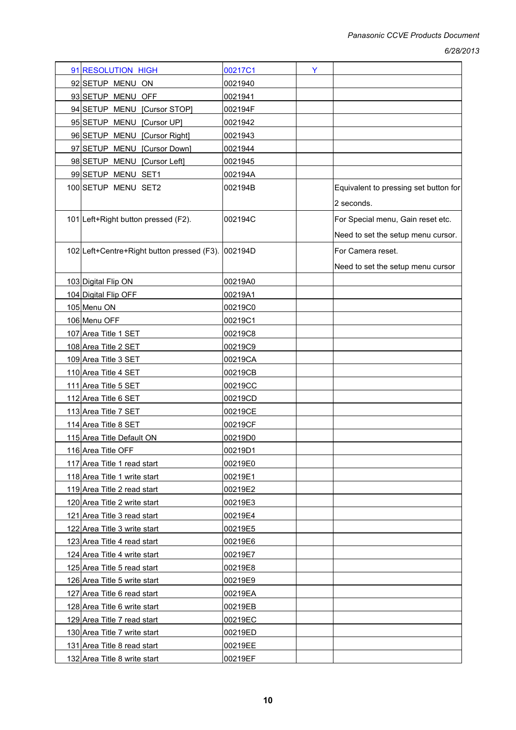| 91 RESOLUTION HIGH                         | 00217C1 | Y |                                                     |
|--------------------------------------------|---------|---|-----------------------------------------------------|
| 92 SETUP MENU ON                           | 0021940 |   |                                                     |
| 93 SETUP MENU OFF                          | 0021941 |   |                                                     |
| 94 SETUP MENU [Cursor STOP]                | 002194F |   |                                                     |
| 95 SETUP MENU [Cursor UP]                  | 0021942 |   |                                                     |
| 96 SETUP MENU [Cursor Right]               | 0021943 |   |                                                     |
| 97 SETUP MENU [Cursor Down]                | 0021944 |   |                                                     |
| 98 SETUP MENU [Cursor Left]                | 0021945 |   |                                                     |
| 99 SETUP MENU SET1                         | 002194A |   |                                                     |
| 100 SETUP MENU SET2                        | 002194B |   | Equivalent to pressing set button for<br>2 seconds. |
|                                            |         |   |                                                     |
| 101 Left+Right button pressed (F2).        | 002194C |   | For Special menu, Gain reset etc.                   |
|                                            |         |   | Need to set the setup menu cursor.                  |
| 102 Left+Centre+Right button pressed (F3). | 002194D |   | For Camera reset.                                   |
|                                            |         |   | Need to set the setup menu cursor                   |
| 103 Digital Flip ON                        | 00219A0 |   |                                                     |
| 104 Digital Flip OFF                       | 00219A1 |   |                                                     |
| 105 Menu ON                                | 00219C0 |   |                                                     |
| 106 Menu OFF                               | 00219C1 |   |                                                     |
| 107 Area Title 1 SET                       | 00219C8 |   |                                                     |
| 108 Area Title 2 SET                       | 00219C9 |   |                                                     |
| 109 Area Title 3 SET                       | 00219CA |   |                                                     |
| 110 Area Title 4 SET                       | 00219CB |   |                                                     |
| 111 Area Title 5 SET                       | 00219CC |   |                                                     |
| 112 Area Title 6 SET                       | 00219CD |   |                                                     |
| 113 Area Title 7 SET                       | 00219CE |   |                                                     |
| 114 Area Title 8 SET                       | 00219CF |   |                                                     |
| 115 Area Title Default ON                  | 00219D0 |   |                                                     |
| 116 Area Title OFF                         | 00219D1 |   |                                                     |
| 117 Area Title 1 read start                | 00219E0 |   |                                                     |
| 118 Area Title 1 write start               | 00219E1 |   |                                                     |
| 119 Area Title 2 read start                | 00219E2 |   |                                                     |
| 120 Area Title 2 write start               | 00219E3 |   |                                                     |
| 121 Area Title 3 read start                | 00219E4 |   |                                                     |
| 122 Area Title 3 write start               | 00219E5 |   |                                                     |
| 123 Area Title 4 read start                | 00219E6 |   |                                                     |
| 124 Area Title 4 write start               | 00219E7 |   |                                                     |
| 125 Area Title 5 read start                | 00219E8 |   |                                                     |
| 126 Area Title 5 write start               | 00219E9 |   |                                                     |
| 127 Area Title 6 read start                | 00219EA |   |                                                     |
| 128 Area Title 6 write start               | 00219EB |   |                                                     |
| 129 Area Title 7 read start                | 00219EC |   |                                                     |
| 130 Area Title 7 write start               | 00219ED |   |                                                     |
| 131 Area Title 8 read start                | 00219EE |   |                                                     |
| 132 Area Title 8 write start               | 00219EF |   |                                                     |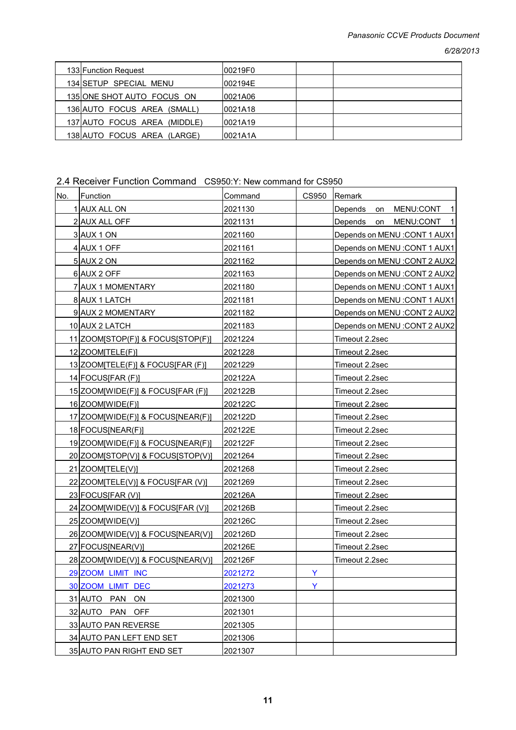| 133 Function Request         | 00219F0  |  |
|------------------------------|----------|--|
| 134 SETUP SPECIAL MENU       | 002194E  |  |
| 135 ONE SHOT AUTO FOCUS ON   | 10021A06 |  |
| 136 AUTO FOCUS AREA (SMALL)  | 0021A18  |  |
| 137 AUTO FOCUS AREA (MIDDLE) | 0021A19  |  |
| 138 AUTO FOCUS AREA (LARGE)  | 10021A1A |  |

#### 2.4 Receiver Function Command CS950:Y: New command for CS950

| No. | Function                            | Command | <b>CS950</b> | Remark                                 |
|-----|-------------------------------------|---------|--------------|----------------------------------------|
|     | 1 AUX ALL ON                        | 2021130 |              | <b>Depends</b><br>MENU:CONT<br>on<br>1 |
|     | 2 AUX ALL OFF                       | 2021131 |              | Depends<br>on<br>MENU:CONT<br>-1       |
|     | 3 AUX 1 ON                          | 2021160 |              | Depends on MENU : CONT 1 AUX1          |
|     | 4 AUX 1 OFF                         | 2021161 |              | Depends on MENU : CONT 1 AUX1          |
|     | 5 AUX 2 ON                          | 2021162 |              | Depends on MENU : CONT 2 AUX2          |
|     | 6 AUX 2 OFF                         | 2021163 |              | Depends on MENU : CONT 2 AUX2          |
|     | 7 AUX 1 MOMENTARY                   | 2021180 |              | Depends on MENU: CONT 1 AUX1           |
|     | 8 AUX 1 LATCH                       | 2021181 |              | Depends on MENU : CONT 1 AUX1          |
|     | 9 AUX 2 MOMENTARY                   | 2021182 |              | Depends on MENU: CONT 2 AUX2           |
|     | 10 AUX 2 LATCH                      | 2021183 |              | Depends on MENU : CONT 2 AUX2          |
|     | 11 ZOOM STOP (F) & FOCUS [STOP (F)] | 2021224 |              | Timeout 2.2sec                         |
|     | 12 ZOOM TELE(F)]                    | 2021228 |              | Timeout 2.2sec                         |
|     | 13 ZOOM[TELE(F)] & FOCUS[FAR (F)]   | 2021229 |              | Timeout 2.2sec                         |
|     | 14 FOCUS[FAR (F)]                   | 202122A |              | Timeout 2.2sec                         |
|     | 15 ZOOM [WIDE(F)] & FOCUS [FAR (F)] | 202122B |              | Timeout 2.2sec                         |
|     | 16 ZOOM [WIDE(F)]                   | 202122C |              | Timeout 2.2sec                         |
|     | 17 ZOOM[WIDE(F)] & FOCUS[NEAR(F)]   | 202122D |              | Timeout 2.2sec                         |
|     | 18 FOCUSINEAR(F)]                   | 202122E |              | Timeout 2.2sec                         |
|     | 19 ZOOM [WIDE(F)] & FOCUS [NEAR(F)] | 202122F |              | Timeout 2.2sec                         |
|     | 20 ZOOM STOP(V)] & FOCUS [STOP(V)]  | 2021264 |              | Timeout 2.2sec                         |
|     | 21 ZOOM[TELE(V)]                    | 2021268 |              | Timeout 2.2sec                         |
|     | 22 ZOOM TELE (V)] & FOCUS [FAR (V)] | 2021269 |              | Timeout 2.2sec                         |
|     | 23 FOCUS [FAR (V)]                  | 202126A |              | Timeout 2.2sec                         |
|     | 24 ZOOM[WIDE(V)] & FOCUS[FAR (V)]   | 202126B |              | Timeout 2.2sec                         |
|     | 25 ZOOM [WIDE(V)]                   | 202126C |              | Timeout 2.2sec                         |
|     | 26 ZOOM[WIDE(V)] & FOCUS[NEAR(V)]   | 202126D |              | Timeout 2.2sec                         |
|     | 27 FOCUSINEAR(V)]                   | 202126E |              | Timeout 2.2sec                         |
|     | 28 ZOOM[WIDE(V)] & FOCUS[NEAR(V)]   | 202126F |              | Timeout 2.2sec                         |
|     | 29 ZOOM LIMIT INC                   | 2021272 | Y            |                                        |
|     | 30 ZOOM LIMIT DEC                   | 2021273 | Y            |                                        |
|     | 31 AUTO PAN<br>ON                   | 2021300 |              |                                        |
|     | 32 AUTO PAN<br><b>OFF</b>           | 2021301 |              |                                        |
|     | 33 AUTO PAN REVERSE                 | 2021305 |              |                                        |
|     | 34 AUTO PAN LEFT END SET            | 2021306 |              |                                        |
|     | 35 AUTO PAN RIGHT END SET           | 2021307 |              |                                        |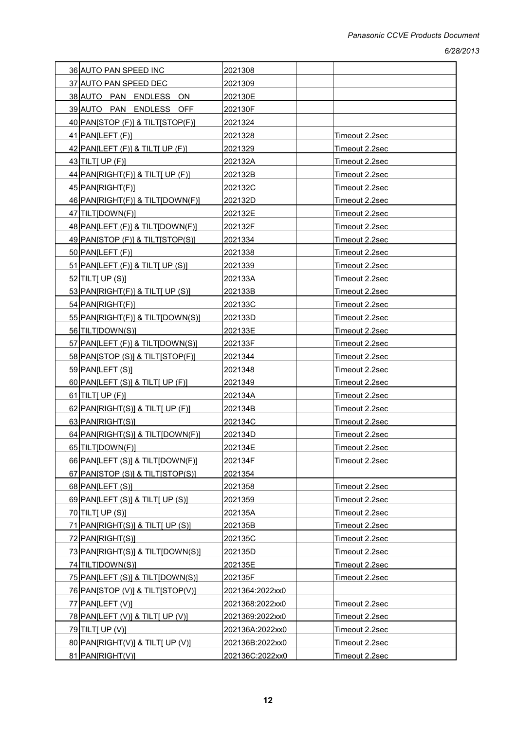| 36 AUTO PAN SPEED INC                  | 2021308         |                       |
|----------------------------------------|-----------------|-----------------------|
| 37 AUTO PAN SPEED DEC                  | 2021309         |                       |
| 38 AUTO PAN ENDLESS ON                 | 202130E         |                       |
| 39 AUTO PAN ENDLESS OFF                | 202130F         |                       |
| 40 PANSTOP (F)] & TILTSTOP(F)]         | 2021324         |                       |
| $41$ PAN[LEFT (F)]                     | 2021328         | <u>Timeout 2.2sec</u> |
| $42$ PAN[LEFT (F)] & TILT[ UP (F)]     | 2021329         | <u>Timeout 2.2sec</u> |
| $43$ TILTI UP (F)]                     | 202132A         | <u>Timeout 2.2sec</u> |
| 44 PAN(RIGHT(F)] & TILT[ UP (F)]       | 202132B         | Timeout 2.2sec        |
| 45 PAN[RIGHT(F)]                       | 202132C         | <u>Timeout 2.2sec</u> |
| 46 PAN[RIGHT(F)] & TILT[DOWN(F)]       | 202132D         | <u>Timeout 2.2sec</u> |
| 47 TILT [DOWN(F)]                      | 202132E         | <u>Timeout 2.2sec</u> |
| 48 PAN[LEFT (F)] & TILT[DOWN(F)]       | 202132F         | Timeout 2.2sec        |
| 49 PANSTOP (F)] & TILTSTOP(S)]         | 2021334         | <u>Timeout 2.2sec</u> |
| 50 PAN[LEFT (F)]                       | 2021338         | <u>Timeout 2.2sec</u> |
| 51 PAN[LEFT (F)] & TILT[ UP (S)]       | 2021339         | <u>Timeout 2.2sec</u> |
| 52 TILTI UP (S)]                       | 202133A         | Timeout 2.2sec        |
| $53$ PAN[RIGHT(F)] & TILT[ UP (S)]     | 202133B         | Timeout 2.2sec        |
| 54 PAN[RIGHT(F)]                       | 202133C         | Timeout 2.2sec        |
| 55 PANJRIGHT(F)] & TILT[DOWN(S)]       | 202133D         | Timeout 2.2sec        |
| 56 TILT[DOWN(S)]                       | 202133E         | Timeout 2.2sec        |
| 57 PAN[LEFT (F)] & TILT[DOWN(S)]       | 202133F         | <u>Timeout 2.2sec</u> |
| 58 PANSTOP (S)] & TILTSTOP(F)]         | 2021344         | <u>Timeout 2.2sec</u> |
| 59 PAN[LEFT (S)]                       | 2021348         | Timeout 2.2sec        |
| $60$ PAN[LEFT (S)] & TILT[ UP (F)]     | 2021349         | Timeout 2.2sec        |
| $61$ TILTJ UP (F)]                     | 202134A         | <u>Timeout 2.2sec</u> |
| $62$ PAN(RIGHT(S)] & TILT[ UP (F)]     | 202134B         | <u>Timeout 2.2sec</u> |
| 63 PAN[RIGHT(S)]                       | 202134C         | Timeout 2.2sec        |
| 64 PAN(RIGHT(S)] & TILT(DOWN(F)]       | 202134D         | Timeout 2.2sec        |
| 65 TILT[DOWN(F)]                       | 202134E         | Timeout 2.2sec        |
| 66 PAN[LEFT (S)] & TILT[DOWN(F)]       | 202134F         | Timeout 2.2sec        |
| 67 PANSTOP (S)] & TILTSTOP(S)]         | 2021354         |                       |
| 68 PAN[LEFT (S)]                       | 2021358         | Timeout 2.2sec        |
| 69 PAN[LEFT $(S)$ ] & TILT[ UP $(S)$ ] | 2021359         | Timeout 2.2sec        |
| 70 TILTI UP (S)]                       | 202135A         | Timeout 2.2sec        |
| 71 PAN(RIGHT(S)] & TILT[ UP (S)]       | 202135B         | Timeout 2.2sec        |
| 72 PAN[RIGHT(S)]                       | 202135C         | Timeout 2.2sec        |
| 73 PAN[RIGHT(S)] & TILT[DOWN(S)]       | 202135D         | Timeout 2.2sec        |
| 74 TILT[DOWN(S)]                       | 202135E         | Timeout 2.2sec        |
| 75 PAN[LEFT (S)] & TILT[DOWN(S)]       | 202135F         | Timeout 2.2sec        |
| 76 PANSTOP (V)] & TILTSTOP(V)]         | 2021364:2022xx0 |                       |
| 77 PAN[LEFT (V)]                       | 2021368:2022xx0 | Timeout 2.2sec        |
| 78 PAN[LEFT (V)] & TILT[ UP (V)]       | 2021369:2022xx0 | Timeout 2.2sec        |
| 79 TILTJ UP (V)]                       | 202136A:2022xx0 | Timeout 2.2sec        |
| 80 PAN[RIGHT(V)] & TILT[ UP (V)]       | 202136B:2022xx0 | Timeout 2.2sec        |
| 81 PAN[RIGHT(V)]                       | 202136C:2022xx0 | Timeout 2.2sec        |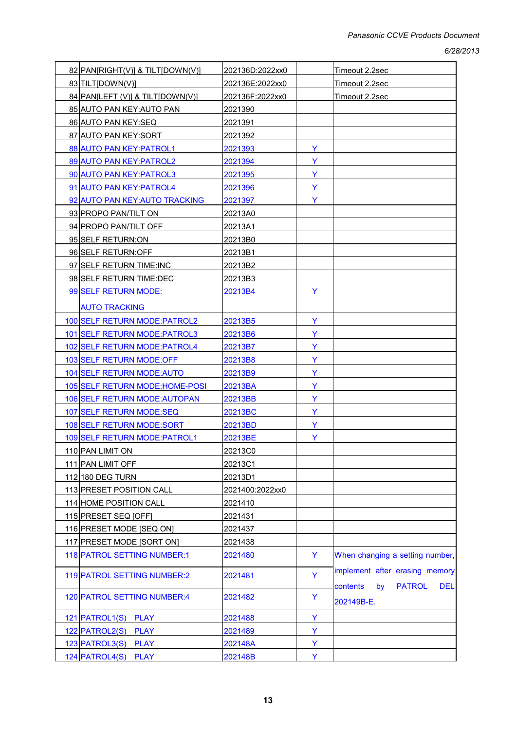| 82 PAN[RIGHT(V)] & TILT[DOWN(V)]   | 202136D:2022xx0 |   | Timeout 2.2sec                                                                  |
|------------------------------------|-----------------|---|---------------------------------------------------------------------------------|
| 83 TILT[DOWN(V)]                   | 202136E:2022xx0 |   | Timeout 2.2sec                                                                  |
| 84 PAN[LEFT (V)] & TILT[DOWN(V)]   | 202136F:2022xx0 |   | Timeout 2.2sec                                                                  |
| 85 AUTO PAN KEY: AUTO PAN          | 2021390         |   |                                                                                 |
| 86 AUTO PAN KEY:SEQ                | 2021391         |   |                                                                                 |
| 87 AUTO PAN KEY: SORT              | 2021392         |   |                                                                                 |
| 88 AUTO PAN KEY: PATROL1           | 2021393         | Y |                                                                                 |
| 89 AUTO PAN KEY: PATROL2           | 2021394         | Y |                                                                                 |
| 90 AUTO PAN KEY: PATROL3           | 2021395         | Y |                                                                                 |
| 91 AUTO PAN KEY: PATROL4           | 2021396         | Y |                                                                                 |
| 92 AUTO PAN KEY: AUTO TRACKING     | 2021397         | Y |                                                                                 |
| 93 PROPO PAN/TILT ON               | 20213A0         |   |                                                                                 |
| 94 PROPO PAN/TILT OFF              | 20213A1         |   |                                                                                 |
| 95 SELF RETURN: ON                 | 20213B0         |   |                                                                                 |
| 96 SELF RETURN: OFF                | 20213B1         |   |                                                                                 |
| 97 SELF RETURN TIME:INC            | 20213B2         |   |                                                                                 |
| 98 SELF RETURN TIME:DEC            | 20213B3         |   |                                                                                 |
| 99 SELF RETURN MODE:               | 20213B4         | Y |                                                                                 |
| <b>AUTO TRACKING</b>               |                 |   |                                                                                 |
| 100 SELF RETURN MODE: PATROL2      | 20213B5         | Y |                                                                                 |
| 101 SELF RETURN MODE: PATROL3      | 20213B6         | Y |                                                                                 |
| 102 SELF RETURN MODE: PATROL4      | 20213B7         | Y |                                                                                 |
| 103 SELF RETURN MODE: OFF          | 20213B8         | Y |                                                                                 |
| 104 SELF RETURN MODE: AUTO         | 20213B9         | Y |                                                                                 |
| 105 SELF RETURN MODE: HOME-POSI    | 20213BA         | Y |                                                                                 |
| 106 SELF RETURN MODE: AUTOPAN      | 20213BB         | Y |                                                                                 |
| 107 SELF RETURN MODE:SEQ           | 20213BC         | Y |                                                                                 |
| 108 SELF RETURN MODE:SORT          | 20213BD         | Y |                                                                                 |
| 109 SELF RETURN MODE: PATROL1      | 20213BE         | Y |                                                                                 |
| 110 PAN LIMIT ON                   | 20213C0         |   |                                                                                 |
| 111 PAN LIMIT OFF                  | 20213C1         |   |                                                                                 |
| 112 180 DEG TURN                   | 20213D1         |   |                                                                                 |
| 113 PRESET POSITION CALL           | 2021400:2022xx0 |   |                                                                                 |
| 114 HOME POSITION CALL             | 2021410         |   |                                                                                 |
| 115 PRESET SEQ [OFF]               | 2021431         |   |                                                                                 |
| 116 PRESET MODE [SEQ ON]           | 2021437         |   |                                                                                 |
| 117 PRESET MODE [SORT ON]          | 2021438         |   |                                                                                 |
| 118 PATROL SETTING NUMBER:1        | 2021480         | Y | When changing a setting number,                                                 |
| <b>119 PATROL SETTING NUMBER:2</b> | 2021481         | Y | implement after erasing memory<br><b>PATROL</b><br>by<br><b>DEL</b><br>contents |
| 120 PATROL SETTING NUMBER:4        | 2021482         | Y | 202149B-E.                                                                      |
| 121 PATROL1(S) PLAY                | 2021488         | Y |                                                                                 |
| 122 PATROL2(S) PLAY                | 2021489         | Y |                                                                                 |
| 123 PATROL3(S) PLAY                | 202148A         | Y |                                                                                 |
| 124 PATROL4(S) PLAY                | 202148B         | Y |                                                                                 |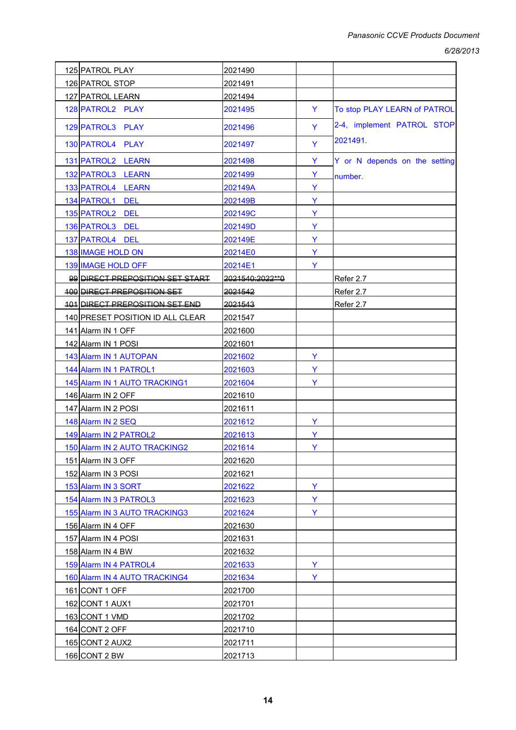*6/28/2013*

| 125 PATROL PLAY                       | 2021490           |   |                               |
|---------------------------------------|-------------------|---|-------------------------------|
| 126 PATROL STOP                       | 2021491           |   |                               |
| 127 PATROL LEARN                      | 2021494           |   |                               |
| 128 PATROL2 PLAY                      | 2021495           | Y | To stop PLAY LEARN of PATROL  |
| 129 PATROL3 PLAY                      | 2021496           | Y | 2-4, implement PATROL STOP    |
| 130 PATROL4 PLAY                      | 2021497           | Y | 2021491.                      |
| 131 PATROL2 LEARN                     | 2021498           | Y | Y or N depends on the setting |
| 132 PATROL3 LEARN                     | 2021499           | Y | number.                       |
| 133 PATROL4 LEARN                     | 202149A           | Y |                               |
| 134 PATROL1 DEL                       | 202149B           | Y |                               |
| 135 PATROL2 DEL                       | 202149C           | Y |                               |
| 136 PATROL3 DEL                       | 202149D           | Y |                               |
| 137 PATROL4 DEL                       | 202149E           | Y |                               |
| <b>138 IMAGE HOLD ON</b>              | 20214E0           | Y |                               |
| 139 IMAGE HOLD OFF                    | 20214E1           | Y |                               |
| 99 DIRECT PREPOSITION SET START       | 2021540:2022 ** 0 |   | Refer 2.7                     |
| <b>400 DIRECT PREPOSITION SET</b>     | 2021542           |   | Refer 2.7                     |
| <b>404 DIRECT PREPOSITION SET END</b> | 2021543           |   | Refer 2.7                     |
| 140 PRESET POSITION ID ALL CLEAR      | 2021547           |   |                               |
| 141 Alarm IN 1 OFF                    | 2021600           |   |                               |
| 142 Alarm IN 1 POSI                   | 2021601           |   |                               |
| 143 Alarm IN 1 AUTOPAN                | 2021602           | Y |                               |
| 144 Alarm IN 1 PATROL1                | 2021603           | Y |                               |
| 145 Alarm IN 1 AUTO TRACKING1         | 2021604           | Y |                               |
| 146 Alarm IN 2 OFF                    | 2021610           |   |                               |
| 147 Alarm IN 2 POSI                   | 2021611           |   |                               |
| 148 Alarm IN 2 SEQ                    | 2021612           | Y |                               |
| 149 Alarm IN 2 PATROL2                | 2021613           | Y |                               |
| 150 Alarm IN 2 AUTO TRACKING2         | 2021614           | Y |                               |
| 151 Alarm IN 3 OFF                    | 2021620           |   |                               |
| 152 Alarm IN 3 POSI                   | 2021621           |   |                               |
| 153 Alarm IN 3 SORT                   | 2021622           | Y |                               |
| 154 Alarm IN 3 PATROL3                | 2021623           | Y |                               |
| 155 Alarm IN 3 AUTO TRACKING3         | 2021624           | Y |                               |
| 156 Alarm IN 4 OFF                    | 2021630           |   |                               |
| 157 Alarm IN 4 POSI                   | 2021631           |   |                               |
| 158 Alarm IN 4 BW                     | 2021632           |   |                               |
| 159 Alarm IN 4 PATROL4                | 2021633           | Y |                               |
| 160 Alarm IN 4 AUTO TRACKING4         | 2021634           | Y |                               |
| 161 CONT 1 OFF                        | 2021700           |   |                               |
| 162 CONT 1 AUX1                       | 2021701           |   |                               |
| 163 CONT 1 VMD                        | 2021702           |   |                               |
| 164 CONT 2 OFF                        | 2021710           |   |                               |
| 165 CONT 2 AUX2                       | 2021711           |   |                               |
| 166 CONT 2 BW                         | 2021713           |   |                               |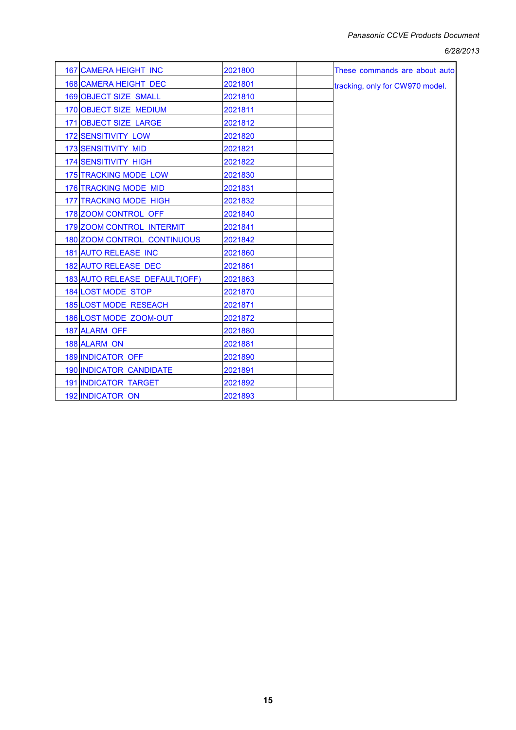#### *6/28/2013*

| 167 CAMERA HEIGHT INC              | 2021800 | These commands are about auto   |
|------------------------------------|---------|---------------------------------|
| 168 CAMERA HEIGHT DEC              | 2021801 | tracking, only for CW970 model. |
| 169 OBJECT SIZE SMALL              | 2021810 |                                 |
| 170 OBJECT SIZE MEDIUM             | 2021811 |                                 |
| 171 OBJECT SIZE LARGE              | 2021812 |                                 |
| <b>172 SENSITIVITY LOW</b>         | 2021820 |                                 |
| 173 SENSITIVITY MID                | 2021821 |                                 |
| <b>174 SENSITIVITY HIGH</b>        | 2021822 |                                 |
| 175 TRACKING MODE LOW              | 2021830 |                                 |
| 176 TRACKING MODE MID              | 2021831 |                                 |
| 177 TRACKING MODE HIGH             | 2021832 |                                 |
| 178 ZOOM CONTROL OFF               | 2021840 |                                 |
| 179 ZOOM CONTROL INTERMIT          | 2021841 |                                 |
| <b>180 ZOOM CONTROL CONTINUOUS</b> | 2021842 |                                 |
| 181 AUTO RELEASE INC               | 2021860 |                                 |
| <b>182 AUTO RELEASE DEC</b>        | 2021861 |                                 |
| 183 AUTO RELEASE DEFAULT(OFF)      | 2021863 |                                 |
| 184 LOST MODE STOP                 | 2021870 |                                 |
| 185 LOST MODE RESEACH              | 2021871 |                                 |
| 186 LOST MODE ZOOM-OUT             | 2021872 |                                 |
| 187 ALARM OFF                      | 2021880 |                                 |
| 188 ALARM ON                       | 2021881 |                                 |
| 189 INDICATOR OFF                  | 2021890 |                                 |
| 190 INDICATOR CANDIDATE            | 2021891 |                                 |
| <b>191 INDICATOR TARGET</b>        | 2021892 |                                 |
| 192 INDICATOR ON                   | 2021893 |                                 |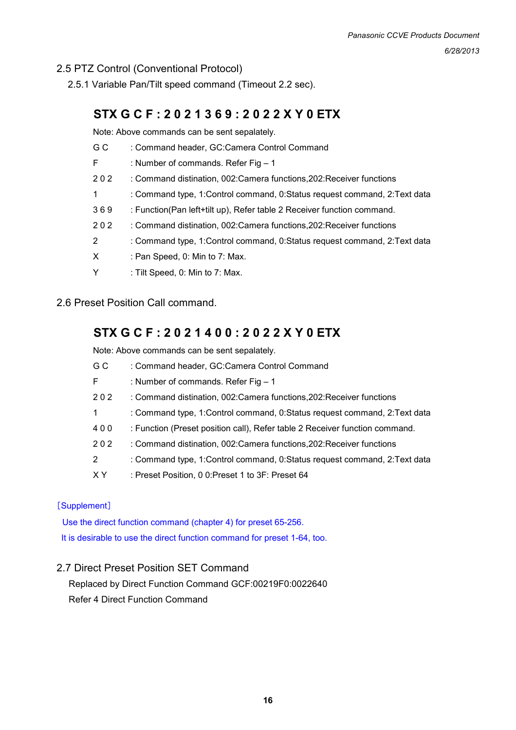## 2.5 PTZ Control (Conventional Protocol)

2.5.1 Variable Pan/Tilt speed command (Timeout 2.2 sec).

## **STX G C F : 2 0 2 1 3 6 9 : 2 0 2 2 X Y 0 ETX**

Note: Above commands can be sent sepalately.

- G C : Command header, GC:Camera Control Command
- F : Number of commands. Refer Fig 1
- 2 0 2 : Command distination, 002:Camera functions,202:Receiver functions
- 1 : Command type, 1:Control command, 0:Status request command, 2:Text data
- 3 6 9 : Function(Pan left+tilt up), Refer table 2 Receiver function command.
- 2 0 2 : Command distination, 002:Camera functions,202:Receiver functions
- 2 : Command type, 1:Control command, 0:Status request command, 2:Text data
- X : Pan Speed, 0: Min to 7: Max.
- Y : Tilt Speed, 0: Min to 7: Max.

#### 2.6 Preset Position Call command.

## **STX G C F : 2 0 2 1 4 0 0 : 2 0 2 2 X Y 0 ETX**

Note: Above commands can be sent sepalately.

| G C | : Command header, GC:Camera Control Command                                 |
|-----|-----------------------------------------------------------------------------|
| F.  | : Number of commands. Refer Fig $-1$                                        |
| 202 | : Command distination, 002: Camera functions, 202: Receiver functions       |
| 1.  | : Command type, 1: Control command, 0: Status request command, 2: Text data |
| 400 | : Function (Preset position call), Refer table 2 Receiver function command. |
| 202 | : Command distination, 002: Camera functions, 202: Receiver functions       |
|     |                                                                             |

- 2 : Command type, 1:Control command, 0:Status request command, 2:Text data
- X Y : Preset Position, 0 0: Preset 1 to 3F: Preset 64

#### [Supplement]

Use the direct function command (chapter 4) for preset 65-256. It is desirable to use the direct function command for preset 1-64, too.

#### 2.7 Direct Preset Position SET Command

Replaced by Direct Function Command GCF:00219F0:0022640 Refer 4 Direct Function Command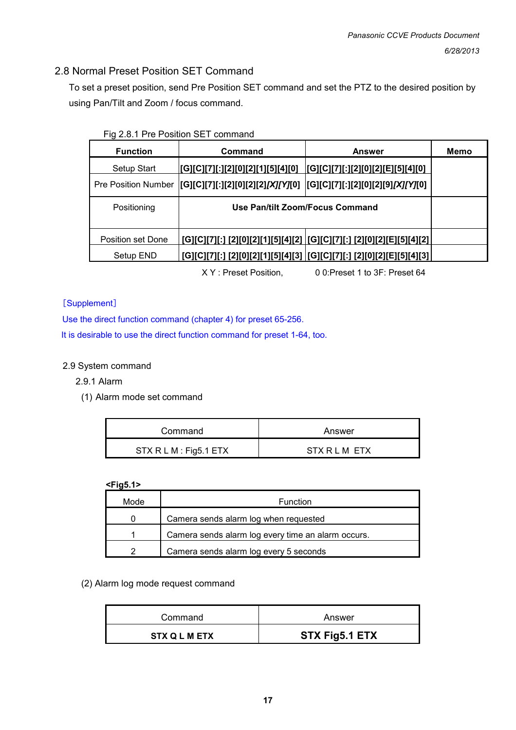## 2.8 Normal Preset Position SET Command

To set a preset position, send Pre Position SET command and set the PTZ to the desired position by using Pan/Tilt and Zoom / focus command.

| Fig 2.8.1 Pre Position SET command |  |
|------------------------------------|--|
|                                    |  |

| <b>Function</b>            | <b>Command</b>                                                                         | <b>Answer</b>                                                          | Memo |
|----------------------------|----------------------------------------------------------------------------------------|------------------------------------------------------------------------|------|
| Setup Start                | [G][C][7][:][2][0][2][1][5][4][0]                                                      | [[G][C][7][:][2][0][2][E][5][4][0]                                     |      |
| <b>Pre Position Number</b> | [G][C][7][:][2][0][2][2] <i>[X][Y]</i> [0]  [G][C][7][:][2][0][2][9] <i>[X][Y]</i> [0] |                                                                        |      |
| Positioning                | Use Pan/tilt Zoom/Focus Command                                                        |                                                                        |      |
| Position set Done          |                                                                                        | [G][C][7][:] [2][0][2][1][5][4][2]  [G][C][7][:] [2][0][2][E][5][4][2] |      |
| Setup END                  |                                                                                        | [G][C][7][:] [2][0][2][1][5][4][3]  [G][C][7][:] [2][0][2][E][5][4][3] |      |

X Y : Preset Position, 0 0:Preset 1 to 3F: Preset 64

#### [Supplement]

Use the direct function command (chapter 4) for preset 65-256.

It is desirable to use the direct function command for preset 1-64, too.

#### 2.9 System command

2.9.1 Alarm

(1) Alarm mode set command

| Command                | Answer        |
|------------------------|---------------|
| STX R L M : Fig5.1 ETX | STX R L M FTX |

#### **<Fig5.1>**

| Mode     | <b>Function</b>                                    |
|----------|----------------------------------------------------|
| $\Omega$ | Camera sends alarm log when requested              |
|          | Camera sends alarm log every time an alarm occurs. |
| 2        | Camera sends alarm log every 5 seconds             |

(2) Alarm log mode request command

| Command              | Answer         |
|----------------------|----------------|
| <b>STX Q L M ETX</b> | STX Fig5.1 ETX |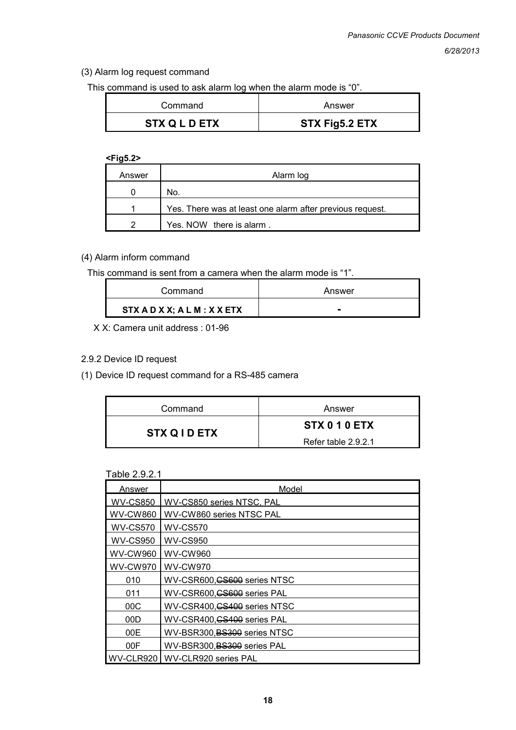#### (3) Alarm log request command

This command is used to ask alarm log when the alarm mode is "0".

| Command              | Answer         |
|----------------------|----------------|
| <b>STX Q L D ETX</b> | STX Fig5.2 ETX |

#### **<Fig5.2>**

| Answer | Alarm log                                                 |
|--------|-----------------------------------------------------------|
|        | No.                                                       |
|        | Yes. There was at least one alarm after previous request. |
| າ      | Yes. NOW there is alarm.                                  |

### (4) Alarm inform command

This command is sent from a camera when the alarm mode is "1".

| Command                    | Answer |
|----------------------------|--------|
| STX AD X X; AL M : X X ETX |        |

X X: Camera unit address : 01-96

#### 2.9.2 Device ID request

(1) Device ID request command for a RS-485 camera

| Command            | Answer              |
|--------------------|---------------------|
| <b>STX QID ETX</b> | STX 0 1 0 ETX       |
|                    | Refer table 2.9.2.1 |

#### Table 2.9.2.1

| Answer          | Model                        |
|-----------------|------------------------------|
| <b>WV-CS850</b> | WV-CS850 series NTSC, PAL    |
| <b>WV-CW860</b> | WV-CW860 series NTSC PAL     |
| <b>WV-CS570</b> | <b>WV-CS570</b>              |
| <b>WV-CS950</b> | <b>WV-CS950</b>              |
| <b>WV-CW960</b> | <b>WV-CW960</b>              |
| <b>WV-CW970</b> | <b>WV-CW970</b>              |
| 010             | WV-CSR600, CS600 series NTSC |
| 011             | WV-CSR600, CS600 series PAL  |
| 00C             | WV-CSR400, CS400 series NTSC |
| 00D             | WV-CSR400, CS400 series PAL  |
| 00E             | WV-BSR300, BS300 series NTSC |
| 00F             | WV-BSR300, BS300 series PAL  |
| WV-CLR920       | WV-CLR920 series PAL         |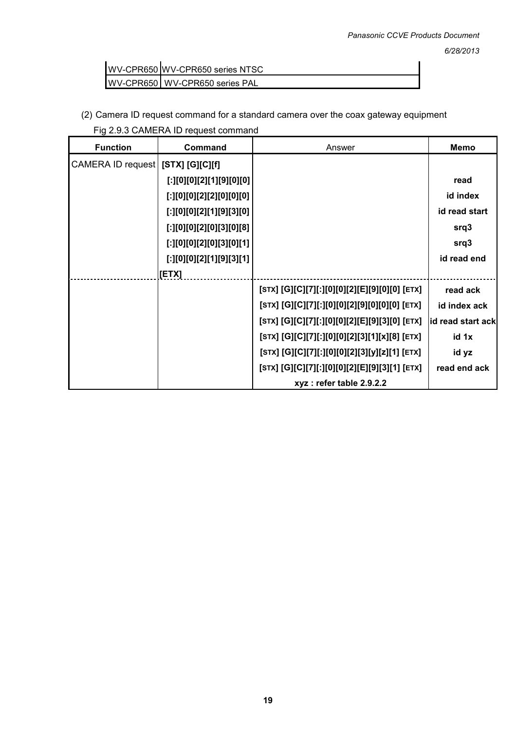WV-CPR650 WV-CPR650 series NTSC WV-CPR650 WV-CPR650 series PAL

(2) Camera ID request command for a standard camera over the coax gateway equipment Fig 2.9.3 CAMERA ID request command

| <b>Function</b>   | Command                         | Answer                                        | <b>Memo</b>       |
|-------------------|---------------------------------|-----------------------------------------------|-------------------|
| CAMERA ID request | $[STX]$ $[G][C][f]$             |                                               |                   |
|                   | [:][0][0][2][1][9][0][0]        |                                               | read              |
|                   | [.] [0] [0] [2] [2] [0] [0] [0] |                                               | id index          |
|                   | [:][0][0][2][1][9][3][0]        |                                               | id read start     |
|                   | [:][0][0][2][0][3][0][8]        |                                               | srq3              |
|                   | [:][0][0][2][0][3][0][1]        |                                               | srq3              |
|                   | [:][0][0][2][1][9][3][1]        |                                               | id read end       |
|                   | [ETX]                           |                                               |                   |
|                   |                                 | [STX] [G][C][7][:][0][0][2][E][9][0][0] [ETX] | read ack          |
|                   |                                 | [STX] [G][C][7][:][0][0][2][9][0][0][0] [ETX] | id index ack      |
|                   |                                 | [STX] [G][C][7][:][0][0][2][E][9][3][0] [ETX] | id read start ack |
|                   |                                 | [STX] [G][C][7][:][0][0][2][3][1][x][8] [ETX] | id 1x             |
|                   |                                 | [STX] [G][C][7][:][0][0][2][3][y][z][1] [ETX] | id yz             |
|                   |                                 | [STX] [G][C][7][:][0][0][2][E][9][3][1] [ETX] | read end ack      |
|                   |                                 | xyz: refer table 2.9.2.2                      |                   |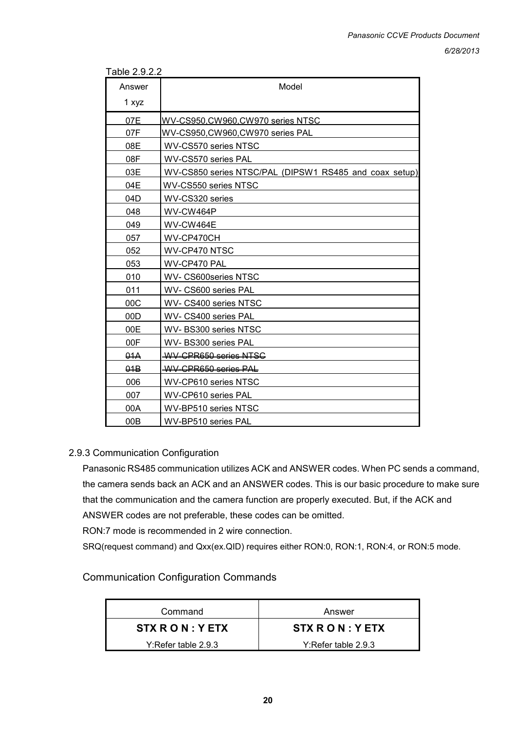| Table 2.9.2.2 |  |  |  |
|---------------|--|--|--|
|               |  |  |  |

| Answer | Model                                                  |
|--------|--------------------------------------------------------|
| 1 xyz  |                                                        |
| 07E    | WV-CS950,CW960,CW970 series NTSC                       |
| 07F    | WV-CS950, CW960, CW970 series PAL                      |
| 08E    | WV-CS570 series NTSC                                   |
| 08F    | WV-CS570 series PAL                                    |
| 03E    | WV-CS850 series NTSC/PAL (DIPSW1 RS485 and coax setup) |
| 04E    | WV-CS550 series NTSC                                   |
| 04D    | WV-CS320 series                                        |
| 048    | WV-CW464P                                              |
| 049    | WV-CW464E                                              |
| 057    | WV-CP470CH                                             |
| 052    | WV-CP470 NTSC                                          |
| 053    | WV-CP470 PAL                                           |
| 010    | WV- CS600series NTSC                                   |
| 011    | WV- CS600 series PAL                                   |
| 00C    | WV- CS400 series NTSC                                  |
| 00D    | WV- CS400 series PAL                                   |
| 00E    | WV-BS300 series NTSC                                   |
| 00F    | WV-BS300 series PAL                                    |
| 04A    | WV CPR650 series NTSC                                  |
| 04B    | WV-CPR650 series PAL                                   |
| 006    | WV-CP610 series NTSC                                   |
| 007    | WV-CP610 series PAL                                    |
| 00A    | WV-BP510 series NTSC                                   |
| 00B    | WV-BP510 series PAL                                    |

#### 2.9.3 Communication Configuration

Panasonic RS485 communication utilizes ACK and ANSWER codes. When PC sends a command, the camera sends back an ACK and an ANSWER codes. This is our basic procedure to make sure that the communication and the camera function are properly executed. But, if the ACK and ANSWER codes are not preferable, these codes can be omitted.

RON:7 mode is recommended in 2 wire connection.

SRQ(request command) and Qxx(ex.QID) requires either RON:0, RON:1, RON:4, or RON:5 mode.

## Communication Configuration Commands

| Command             | Answer                |
|---------------------|-----------------------|
| STX R O N : Y ETX   | STX R O N : Y ETX     |
| Y:Refer table 2.9.3 | $Y:Refer$ table 2.9.3 |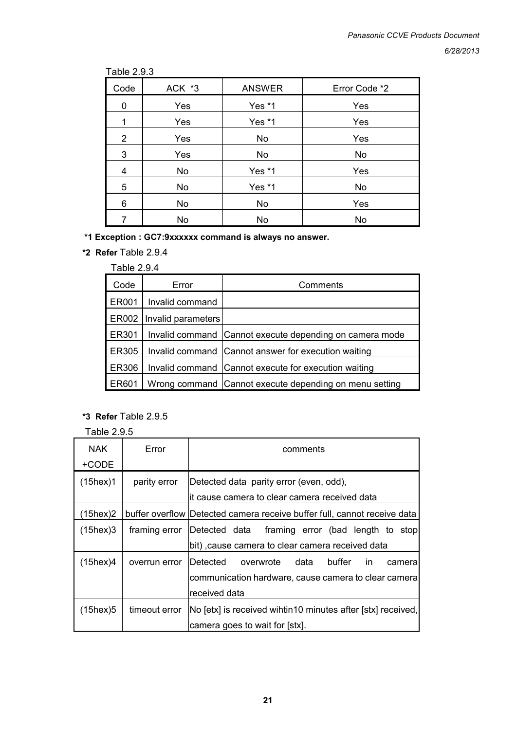#### Table 2.9.3

| Code           | ACK *3 | <b>ANSWER</b> | Error Code *2 |
|----------------|--------|---------------|---------------|
| 0              | Yes    | Yes *1        | Yes           |
| 1              | Yes    | Yes *1        | Yes           |
| $\overline{2}$ | Yes    | No            | Yes           |
| 3              | Yes    | No            | No            |
| 4              | No     | Yes *1        | Yes           |
| 5              | No     | Yes *1        | No            |
| 6              | No     | No            | Yes           |
| 7              | No     | No            | No            |

**\*1 Exception : GC7:9xxxxxx command is always no answer.** 

**\*2 Refer** Table 2.9.4

| Code         | Error              | Comments                                                |
|--------------|--------------------|---------------------------------------------------------|
| ER001        | Invalid command    |                                                         |
| ER002        | Invalid parameters |                                                         |
| ER301        |                    | Invalid command Cannot execute depending on camera mode |
| <b>ER305</b> |                    | Invalid command Cannot answer for execution waiting     |
| <b>ER306</b> |                    | Invalid command Cannot execute for execution waiting    |
| ER601        |                    | Wrong command Cannot execute depending on menu setting  |

## **\*3 Refer** Table 2.9.5

Table 2.9.5

| <b>NAK</b><br>+CODE | Error         | comments                                                                                  |  |
|---------------------|---------------|-------------------------------------------------------------------------------------------|--|
| $(15$ hex $)1$      | parity error  | Detected data parity error (even, odd),<br>lit cause camera to clear camera received data |  |
| $(15$ hex $)2$      |               | buffer overflow Detected camera receive buffer full, cannot receive data                  |  |
| $(15$ hex $)3$      | framing error | Detected data framing error (bad length to stop                                           |  |
|                     |               | bit), cause camera to clear camera received data                                          |  |
| $(15$ hex $)4$      | overrun error | buffer<br><b>IDetected</b><br>overwrote data<br>in.<br>cameral                            |  |
|                     |               | communication hardware, cause camera to clear camera                                      |  |
|                     |               | received data                                                                             |  |
| $(15$ hex $)5$      | timeout error | No [etx] is received wihtin10 minutes after [stx] received,                               |  |
|                     |               | camera goes to wait for [stx].                                                            |  |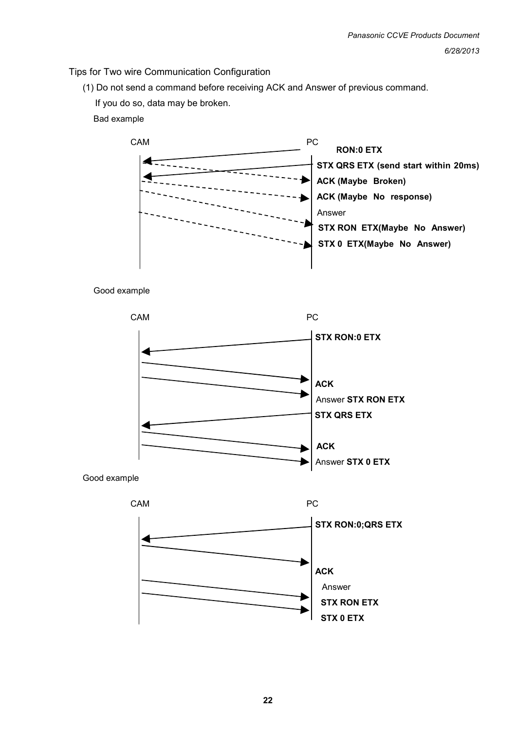### Tips for Two wire Communication Configuration

(1) Do not send a command before receiving ACK and Answer of previous command.

If you do so, data may be broken.

Bad example





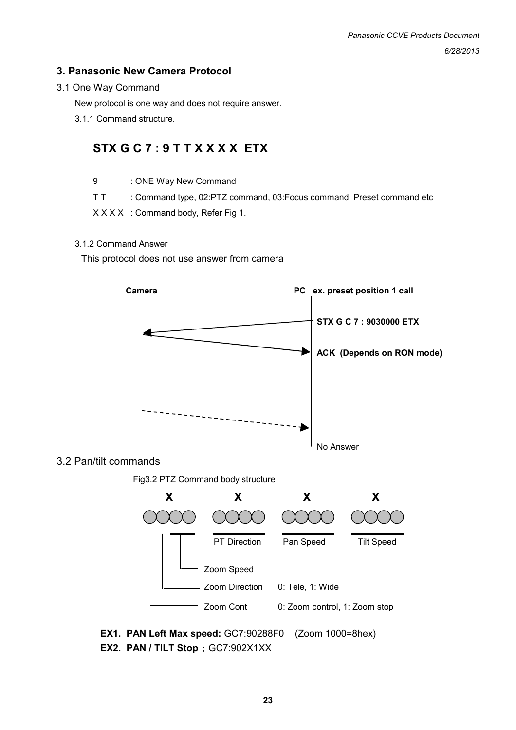## **3. Panasonic New Camera Protocol**

#### 3.1 One Way Command

New protocol is one way and does not require answer.

3.1.1 Command structure.

## **STX G C 7 : 9 T T X X X X ETX**

- 9 : ONE Way New Command
- T T : Command type, 02:PTZ command, 03:Focus command, Preset command etc

X X X X : Command body, Refer Fig 1.

#### 3.1.2 Command Answer

This protocol does not use answer from camera



#### 3.2 Pan/tilt commands

Fig3.2 PTZ Command body structure

![](_page_22_Figure_14.jpeg)

**EX1. PAN Left Max speed:** GC7:90288F0 (Zoom 1000=8hex) **EX2. PAN / TILT Stop** : GC7:902X1XX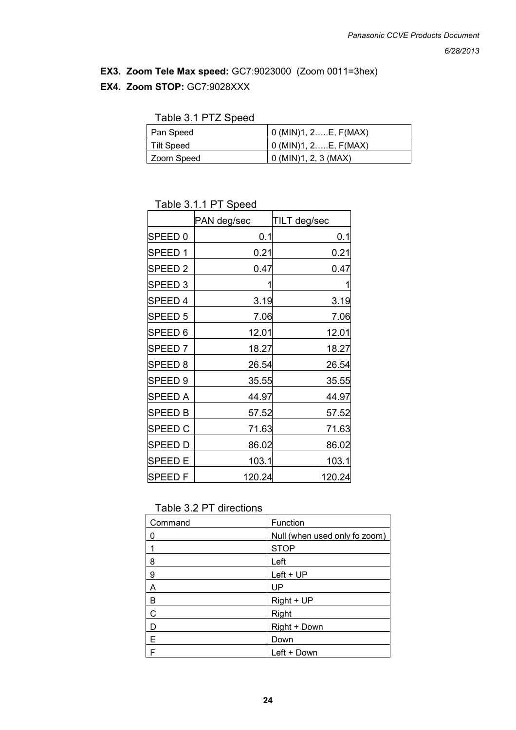#### **EX3. Zoom Tele Max speed:** GC7:9023000 (Zoom 0011=3hex)

#### **EX4. Zoom STOP:** GC7:9028XXX

| Pan Speed         | $0$ (MIN)1, 2E, $F(MAX)$ |
|-------------------|--------------------------|
| Tilt Speed        | $0$ (MIN)1, 2E, F(MAX)   |
| <b>Zoom Speed</b> | $0$ (MIN)1, 2, 3 (MAX)   |

## Table 3.1.1 PT Speed

|                    | PAN deg/sec | TILT deg/sec |
|--------------------|-------------|--------------|
| SPEED <sub>0</sub> | 0.1         | 0.1          |
| SPEED 1            | 0.21        | 0.21         |
| SPEED <sub>2</sub> | 0.47        | 0.47         |
| SPEED <sub>3</sub> | 1           |              |
| SPEED 4            | 3.19        | 3.19         |
| SPEED <sub>5</sub> | 7.06        | 7.06         |
| SPEED 6            | 12.01       | 12.01        |
| SPEED <sub>7</sub> | 18.27       | 18.27        |
| SPEED <sub>8</sub> | 26.54       | 26.54        |
| SPEED <sub>9</sub> | 35.55       | 35.55        |
| <b>SPEED A</b>     | 44.97       | 44.97        |
| <b>SPEED B</b>     | 57.52       | 57.52        |
| <b>SPEED C</b>     | 71.63       | 71.63        |
| <b>SPEED D</b>     | 86.02       | 86.02        |
| <b>SPEED E</b>     | 103.1       | 103.1        |
| <b>SPEEDF</b>      | 120.24      | 120.24       |

### Table 3.2 PT directions

| Command | Function                      |
|---------|-------------------------------|
| 0       | Null (when used only fo zoom) |
|         | <b>STOP</b>                   |
| 8       | Left                          |
| 9       | $Left + UP$                   |
| А       | UP                            |
| в       | Right + UP                    |
| С       | Right                         |
| D       | Right + Down                  |
| E       | Down                          |
|         | Left + Down                   |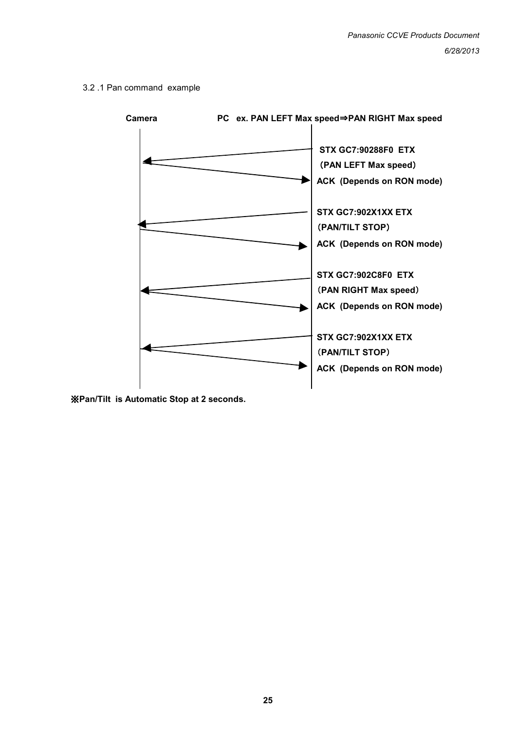#### 3.2 .1 Pan command example

![](_page_24_Figure_2.jpeg)

※**Pan/Tilt is Automatic Stop at 2 seconds.**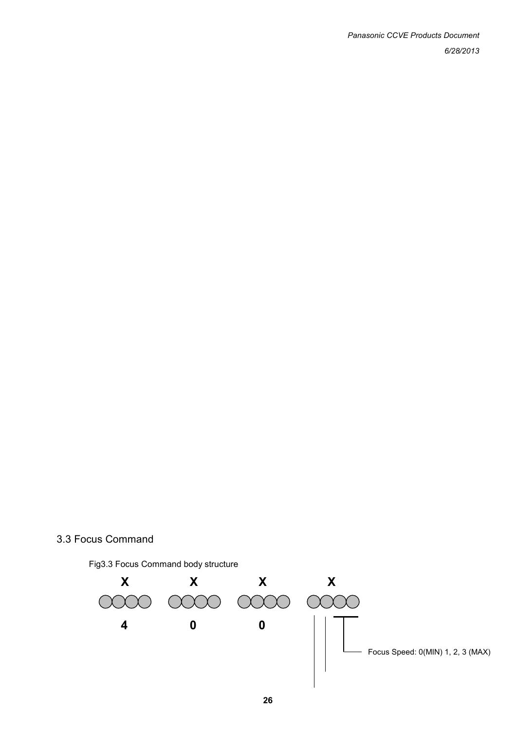## 3.3 Focus Command

![](_page_25_Figure_2.jpeg)

![](_page_25_Figure_3.jpeg)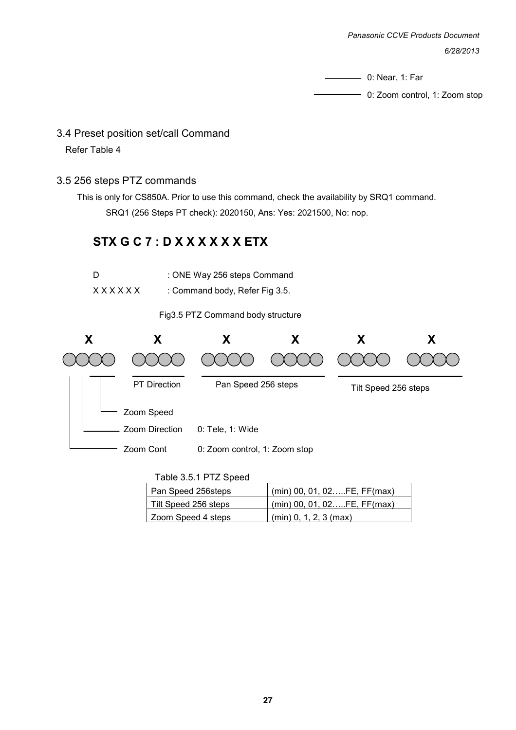*Panasonic CCVE Products Document 6/28/2013*

0: Near, 1: Far

0: Zoom control, 1: Zoom stop

#### 3.4 Preset position set/call Command

Refer Table 4

#### 3.5 256 steps PTZ commands

 This is only for CS850A. Prior to use this command, check the availability by SRQ1 command. SRQ1 (256 Steps PT check): 2020150, Ans: Yes: 2021500, No: nop.

## **STX G C 7 : D X X X X X X ETX**

| D      | : ONE Way 256 steps Command    |
|--------|--------------------------------|
| XXXXXX | : Command body, Refer Fig 3.5. |

Fig3.5 PTZ Command body structure

![](_page_26_Figure_10.jpeg)

| Table 3.5.1 PTZ Speed               |  |
|-------------------------------------|--|
| $P_1 \cup P_2 \cup \ldots \cup P_r$ |  |

| Pan Speed 256steps   | $(min)$ 00, 01, 02FE, FF(max) |
|----------------------|-------------------------------|
| Tilt Speed 256 steps | $(min)$ 00, 01, 02FE, FF(max) |
| Zoom Speed 4 steps   | $(min)$ 0, 1, 2, 3 (max)      |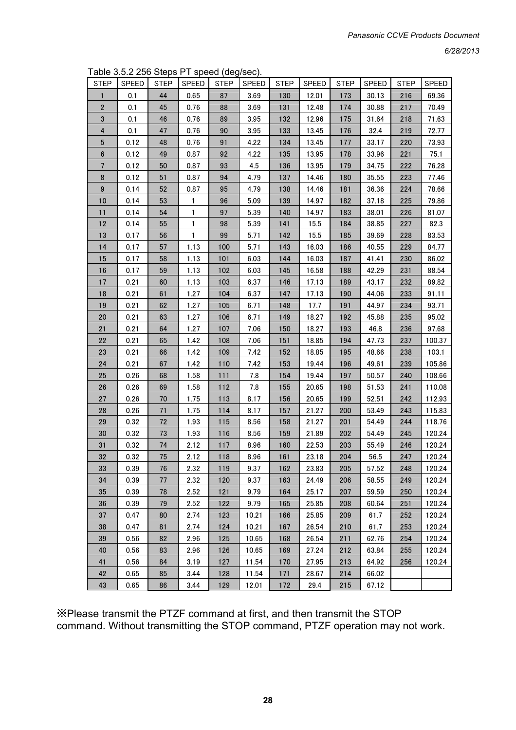*6/28/2013*

Table 3.5.2 256 Steps PT speed (deg/sec).

| <b>STEP</b>      | SPEED | <b>STEP</b> | <b>SPEED</b> | <b>STEP</b> | $\sim$ $\sim$ $\prime$ $\cdot$<br>SPEED | <b>STEP</b> | <b>SPEED</b> | <b>STEP</b> | <b>SPEED</b> | <b>STEP</b> | <b>SPEED</b> |
|------------------|-------|-------------|--------------|-------------|-----------------------------------------|-------------|--------------|-------------|--------------|-------------|--------------|
| $\mathbf{1}$     | 0.1   | 44          | 0.65         | 87          | 3.69                                    | 130         | 12.01        | 173         | 30.13        | 216         | 69.36        |
| 2                | 0.1   | 45          | 0.76         | 88          | 3.69                                    | 131         | 12.48        | 174         | 30.88        | 217         | 70.49        |
| 3                | 0.1   | 46          | 0.76         | 89          | 3.95                                    | 132         | 12.96        | 175         | 31.64        | 218         | 71.63        |
| 4                | 0.1   | 47          | 0.76         | 90          | 3.95                                    | 133         | 13.45        | 176         | 32.4         | 219         | 72.77        |
| $\sqrt{5}$       | 0.12  | 48          | 0.76         | 91          | 4.22                                    | 134         | 13.45        | 177         | 33.17        | 220         | 73.93        |
| 6                | 0.12  | 49          | 0.87         | 92          | 4.22                                    | 135         | 13.95        | 178         | 33.96        | 221         | 75.1         |
| $\overline{7}$   | 0.12  | 50          | 0.87         | 93          | 4.5                                     | 136         | 13.95        | 179         | 34.75        | 222         | 76.28        |
| 8                | 0.12  | 51          | 0.87         | 94          | 4.79                                    | 137         | 14.46        | 180         | 35.55        | 223         | 77.46        |
| $\boldsymbol{9}$ | 0.14  | 52          | 0.87         | 95          | 4.79                                    | 138         | 14.46        | 181         | 36.36        | 224         | 78.66        |
| 10               | 0.14  | 53          | 1            | 96          | 5.09                                    | 139         | 14.97        | 182         | 37.18        | 225         | 79.86        |
| 11               | 0.14  | 54          | 1            | 97          | 5.39                                    | 140         | 14.97        | 183         | 38.01        | 226         | 81.07        |
| 12               | 0.14  | 55          | 1            | 98          | 5.39                                    | 141         | 15.5         | 184         | 38.85        | 227         | 82.3         |
| 13               | 0.17  | 56          | $\mathbf{1}$ | 99          | 5.71                                    | 142         | 15.5         | 185         | 39.69        | 228         | 83.53        |
| 14               | 0.17  | 57          | 1.13         | 100         | 5.71                                    | 143         | 16.03        | 186         | 40.55        | 229         | 84.77        |
| 15               | 0.17  | 58          | 1.13         | 101         | 6.03                                    | 144         | 16.03        | 187         | 41.41        | 230         | 86.02        |
| 16               | 0.17  | 59          | 1.13         | 102         | 6.03                                    | 145         | 16.58        | 188         | 42.29        | 231         | 88.54        |
| 17               | 0.21  | 60          | 1.13         | 103         | 6.37                                    | 146         | 17.13        | 189         | 43.17        | 232         | 89.82        |
| 18               | 0.21  | 61          | 1.27         | 104         | 6.37                                    | 147         | 17.13        | 190         | 44.06        | 233         | 91.11        |
| 19               | 0.21  | 62          | 1.27         | 105         | 6.71                                    | 148         | 17.7         | 191         | 44.97        | 234         | 93.71        |
| 20               | 0.21  | 63          | 1.27         | 106         | 6.71                                    | 149         | 18.27        | 192         | 45.88        | 235         | 95.02        |
| 21               | 0.21  | 64          | 1.27         | 107         | 7.06                                    | 150         | 18.27        | 193         | 46.8         | 236         | 97.68        |
| 22               | 0.21  | 65          | 1.42         | 108         | 7.06                                    | 151         | 18.85        | 194         | 47.73        | 237         | 100.37       |
| 23               | 0.21  | 66          | 1.42         | 109         | 7.42                                    | 152         | 18.85        | 195         | 48.66        | 238         | 103.1        |
| 24               | 0.21  | 67          | 1.42         | 110         | 7.42                                    | 153         | 19.44        | 196         | 49.61        | 239         | 105.86       |
| 25               | 0.26  | 68          | 1.58         | 111         | 7.8                                     | 154         | 19.44        | 197         | 50.57        | 240         | 108.66       |
| ${\bf 26}$       | 0.26  | 69          | 1.58         | 112         | 7.8                                     | 155         | 20.65        | 198         | 51.53        | 241         | 110.08       |
| 27               | 0.26  | 70          | 1.75         | 113         | 8.17                                    | 156         | 20.65        | 199         | 52.51        | 242         | 112.93       |
| 28               | 0.26  | 71          | 1.75         | 114         | 8.17                                    | 157         | 21.27        | 200         | 53.49        | 243         | 115.83       |
| 29               | 0.32  | 72          | 1.93         | 115         | 8.56                                    | 158         | 21.27        | 201         | 54.49        | 244         | 118.76       |
| 30               | 0.32  | 73          | 1.93         | 116         | 8.56                                    | 159         | 21.89        | 202         | 54.49        | 245         | 120.24       |
| 31               | 0.32  | 74          | 2.12         | 117         | 8.96                                    | 160         | 22.53        | 203         | 55.49        | 246         | 120.24       |
| 32               | 0.32  | 75          | 2.12         | 118         | 8.96                                    | 161         | 23.18        | 204         | 56.5         | 247         | 120.24       |
| 33               | 0.39  | 76          | 2.32         | 119         | 9.37                                    | 162         | 23.83        | 205         | 57.52        | 248         | 120.24       |
| 34               | 0.39  | 77          | 2.32         | 120         | 9.37                                    | 163         | 24.49        | 206         | 58.55        | 249         | 120.24       |
| 35               | 0.39  | 78          | 2.52         | 121         | 9.79                                    | 164         | 25.17        | 207         | 59.59        | 250         | 120.24       |
| 36               | 0.39  | 79          | 2.52         | 122         | 9.79                                    | 165         | 25.85        | 208         | 60.64        | 251         | 120.24       |
| 37               | 0.47  | 80          | 2.74         | 123         | 10.21                                   | 166         | 25.85        | 209         | 61.7         | 252         | 120.24       |
| 38               | 0.47  | 81          | 2.74         | 124         | 10.21                                   | 167         | 26.54        | 210         | 61.7         | 253         | 120.24       |
| 39               | 0.56  | 82          | 2.96         | 125         | 10.65                                   | 168         | 26.54        | 211         | 62.76        | 254         | 120.24       |
| 40               | 0.56  | 83          | 2.96         | 126         | 10.65                                   | 169         | 27.24        | 212         | 63.84        | 255         | 120.24       |
| 41               | 0.56  | 84          | 3.19         | 127         | 11.54                                   | 170         | 27.95        | 213         | 64.92        | 256         | 120.24       |
| 42               | 0.65  | 85          | 3.44         | 128         | 11.54                                   | 171         | 28.67        | 214         | 66.02        |             |              |
| 43               | 0.65  | 86          | 3.44         | 129         | 12.01                                   | 172         | 29.4         | 215         | 67.12        |             |              |

※Please transmit the PTZF command at first, and then transmit the STOP command. Without transmitting the STOP command, PTZF operation may not work.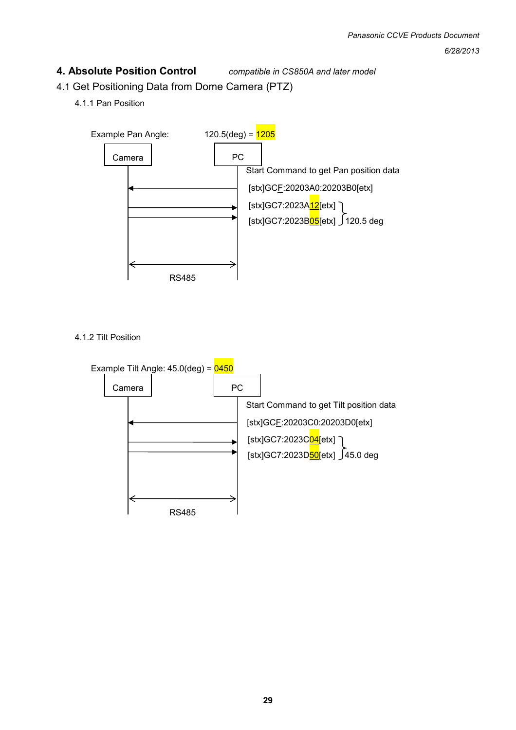### **4. Absolute Position Control** *compatible in CS850A and later model*

- 4.1 Get Positioning Data from Dome Camera (PTZ)
	- 4.1.1 Pan Position

![](_page_28_Figure_5.jpeg)

4.1.2 Tilt Position

![](_page_28_Figure_7.jpeg)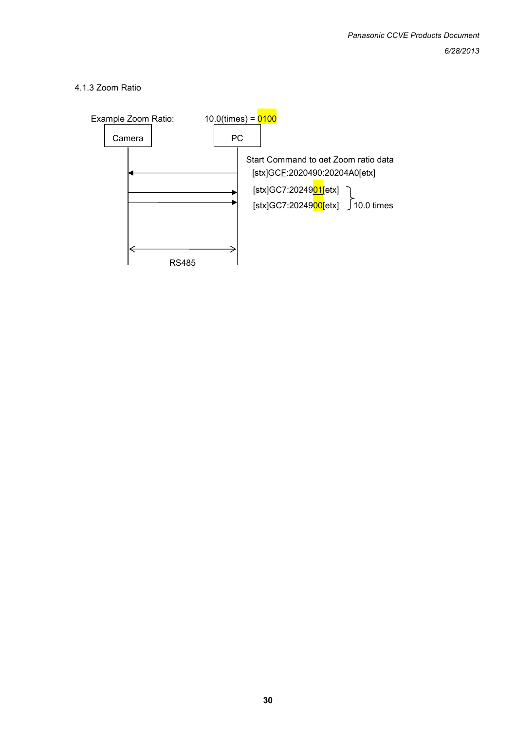#### 4.1.3 Zoom Ratio

![](_page_29_Figure_2.jpeg)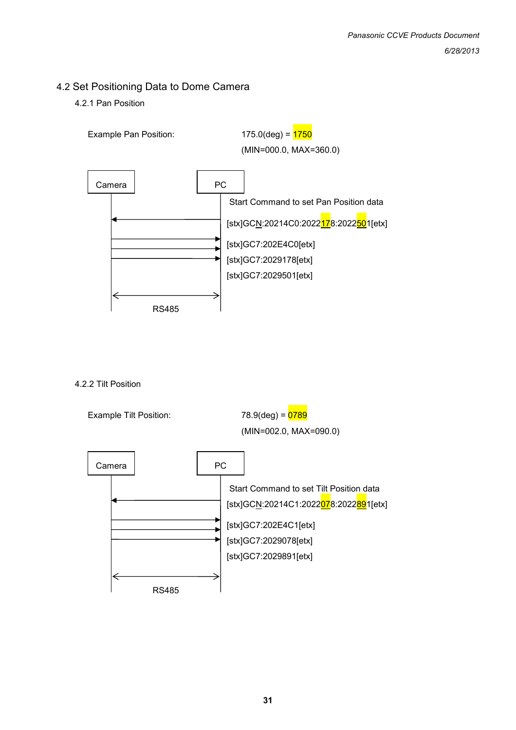## 4.2 Set Positioning Data to Dome Camera

4.2.1 Pan Position

![](_page_30_Figure_3.jpeg)

4.2.2 Tilt Position

![](_page_30_Figure_5.jpeg)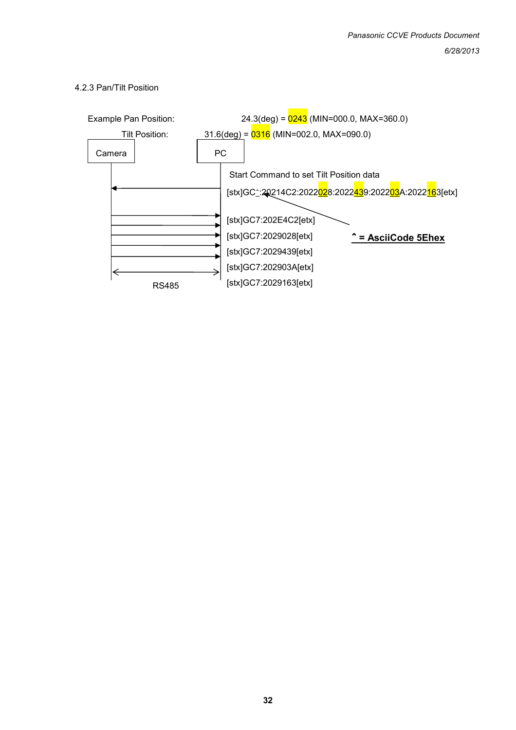![](_page_31_Figure_1.jpeg)

#### 4.2.3 Pan/Tilt Position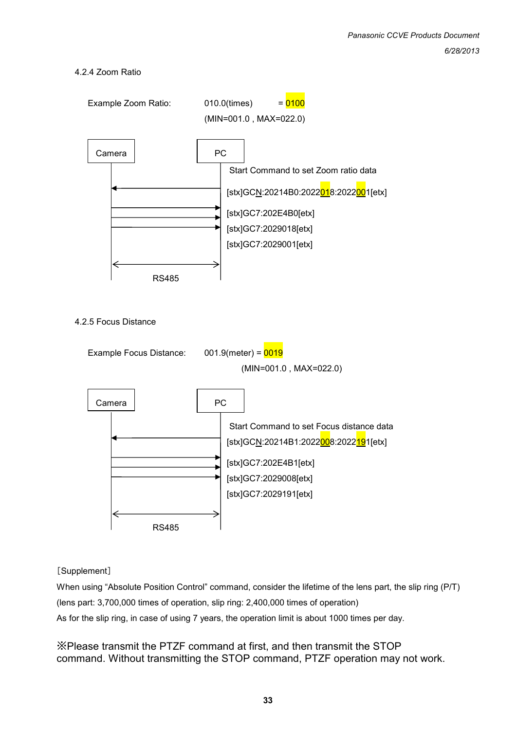#### 4.2.4 Zoom Ratio

![](_page_32_Figure_2.jpeg)

#### [Supplement]

When using "Absolute Position Control" command, consider the lifetime of the lens part, the slip ring (P/T) (lens part: 3,700,000 times of operation, slip ring: 2,400,000 times of operation) As for the slip ring, in case of using 7 years, the operation limit is about 1000 times per day.

※Please transmit the PTZF command at first, and then transmit the STOP command. Without transmitting the STOP command, PTZF operation may not work.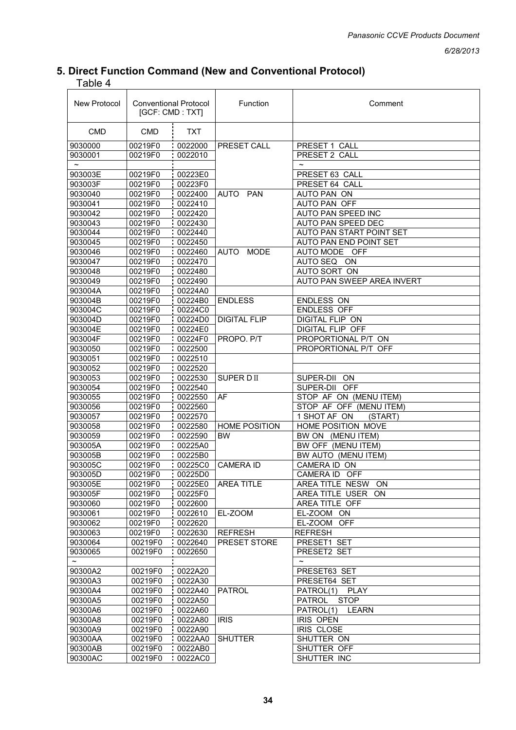#### *6/28/2013*

## **5. Direct Function Command (New and Conventional Protocol)**

Table 4

| New Protocol | <b>Conventional Protocol</b><br>[GCF: CMD : TXT] |            | Function                   | Comment                      |  |
|--------------|--------------------------------------------------|------------|----------------------------|------------------------------|--|
| <b>CMD</b>   | <b>CMD</b>                                       | <b>TXT</b> |                            |                              |  |
| 9030000      | 00219F0                                          | 0022000    | PRESET CALL                | PRESET 1 CALL                |  |
| 9030001      | 00219F0                                          | 0022010    |                            | PRESET 2 CALL                |  |
| $\tilde{}$   |                                                  |            |                            | $\tilde{\phantom{a}}$        |  |
| 903003E      | 00219F0                                          | 00223E0    |                            | PRESET 63 CALL               |  |
| 903003F      | 00219F0                                          | 00223F0    |                            | PRESET 64 CALL               |  |
| 9030040      | 00219F0                                          | 0022400    | PAN<br><b>AUTO</b>         | AUTO PAN ON                  |  |
| 9030041      | 00219F0                                          | 0022410    |                            | <b>AUTO PAN OFF</b>          |  |
| 9030042      | 00219F0                                          | 0022420    |                            | AUTO PAN SPEED INC           |  |
| 9030043      | 00219F0                                          | 0022430    |                            | AUTO PAN SPEED DEC           |  |
| 9030044      | 00219F0                                          | 0022440    |                            | AUTO PAN START POINT SET     |  |
| 9030045      | 00219F0                                          | 0022450    |                            | AUTO PAN END POINT SET       |  |
| 9030046      | 00219F0                                          | 0022460    | <b>AUTO</b><br><b>MODE</b> | AUTO MODE OFF                |  |
| 9030047      | 00219F0                                          | 0022470    |                            | <b>AUTO SEQ</b><br><b>ON</b> |  |
| 9030048      | 00219F0                                          | 0022480    |                            | AUTO SORT ON                 |  |
| 9030049      | 00219F0                                          | 0022490    |                            | AUTO PAN SWEEP AREA INVERT   |  |
| 903004A      | 00219F0                                          | 00224A0    |                            |                              |  |
| 903004B      | 00219F0                                          | 00224B0    | <b>ENDLESS</b>             | <b>ENDLESS ON</b>            |  |
| 903004C      | 00219F0                                          | 00224C0    |                            | <b>ENDLESS OFF</b>           |  |
| 903004D      | 00219F0                                          | 00224D0    | <b>DIGITAL FLIP</b>        | DIGITAL FLIP ON              |  |
| 903004E      | 00219F0                                          | 00224E0    |                            | <b>DIGITAL FLIP OFF</b>      |  |
| 903004F      | 00219F0                                          | 00224F0    | PROPO, P/T                 | PROPORTIONAL P/T ON          |  |
| 9030050      | 00219F0                                          | 0022500    |                            | PROPORTIONAL P/T OFF         |  |
| 9030051      | 00219F0                                          | 0022510    |                            |                              |  |
| 9030052      | 00219F0                                          | 0022520    |                            |                              |  |
| 9030053      | 00219F0                                          | 0022530    | SUPER DII                  | SUPER-DII<br>ON              |  |
| 9030054      | 00219F0                                          | 0022540    |                            | SUPER-DII OFF                |  |
| 9030055      | 00219F0                                          | 0022550    | AF                         | STOP AF ON (MENU ITEM)       |  |
| 9030056      | 00219F0                                          | 0022560    |                            | STOP AF OFF (MENU ITEM)      |  |
| 9030057      | 00219F0                                          | 0022570    |                            | 1 SHOT AF ON<br>(START)      |  |
| 9030058      | 00219F0                                          | 0022580    | <b>HOME POSITION</b>       | HOME POSITION MOVE           |  |
| 9030059      | 00219F0                                          | 0022590    | <b>BW</b>                  | BW ON (MENU ITEM)            |  |
| 903005A      | 00219F0                                          | 00225A0    |                            | BW OFF (MENU ITEM)           |  |
| 903005B      | 00219F0                                          | 00225B0    |                            | BW AUTO (MENU ITEM)          |  |
| 903005C      | 00219F0                                          | 00225C0    | <b>CAMERA ID</b>           | CAMERA ID ON                 |  |
| 903005D      | 00219F0                                          | 00225D0    |                            | CAMERA ID OFF                |  |
| 903005E      | 00219F0                                          | 00225E0    | <b>AREA TITLE</b>          | AREA TITLE NESW ON           |  |
| 903005F      | 00219F0                                          | 00225F0    |                            | AREA TITLE USER<br><b>ON</b> |  |
| 9030060      | 00219F0                                          | 0022600    |                            | AREA TITLE OFF               |  |
| 9030061      | 00219F0                                          | 0022610    | EL-ZOOM                    | EL-ZOOM ON                   |  |
| 9030062      | 00219F0                                          | 0022620    |                            | EL-ZOOM OFF                  |  |
| 9030063      | 00219F0                                          | 0022630    | <b>REFRESH</b>             | <b>REFRESH</b>               |  |
| 9030064      | 00219F0                                          | 0022640    | PRESET STORE               | PRESET1 SET                  |  |
| 9030065      | 00219F0                                          | 0022650    |                            | PRESET2 SET                  |  |
|              |                                                  |            |                            | $\tilde{}$                   |  |
| 90300A2      | 00219F0                                          | 0022A20    |                            | PRESET63 SET                 |  |
| 90300A3      | 00219F0                                          | 0022A30    |                            | PRESET64 SET                 |  |
| 90300A4      | 00219F0                                          | 0022A40    | <b>PATROL</b>              | <b>PLAY</b><br>PATROL(1)     |  |
| 90300A5      | 00219F0                                          | 0022A50    |                            | <b>STOP</b><br>PATROL        |  |
| 90300A6      | 00219F0                                          | 0022A60    |                            | PATROL(1)<br>LEARN           |  |
| 90300A8      | 00219F0                                          | 0022A80    | <b>IRIS</b>                | IRIS OPEN                    |  |
| 90300A9      | 00219F0                                          | 0022A90    |                            | IRIS CLOSE                   |  |
| 90300AA      | 00219F0                                          | 0022AA0    | <b>SHUTTER</b>             | SHUTTER ON                   |  |
| 90300AB      | 00219F0                                          | 0022AB0    |                            | SHUTTER OFF                  |  |
| 90300AC      | 00219F0                                          | 0022AC0    |                            | SHUTTER INC                  |  |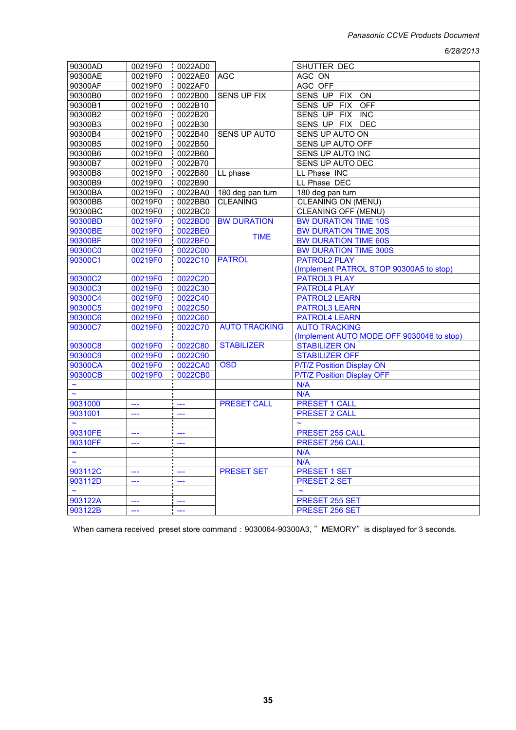*6/28/2013*

| 90300AD               | 00219F0 | 0022AD0              |                      | SHUTTER DEC                               |
|-----------------------|---------|----------------------|----------------------|-------------------------------------------|
| 90300AE               | 00219F0 | 0022AE0              | <b>AGC</b>           | AGC ON                                    |
| 90300AF               | 00219F0 | 0022AF0              |                      | AGC OFF                                   |
| 90300B0               | 00219F0 | 0022B00              | <b>SENS UP FIX</b>   | SENS UP FIX<br>ON                         |
| 90300B1               | 00219F0 | .0022B10             |                      | SENS UP FIX<br><b>OFF</b>                 |
| 90300B2               | 00219F0 | $\overline{0022B20}$ |                      | SENS UP FIX INC                           |
| 90300B3               | 00219F0 | 0022B30              |                      | SENS UP FIX DEC                           |
| 90300B4               | 00219F0 | 0022B40              | SENS UP AUTO         | SENS UP AUTO ON                           |
| 90300B5               | 00219F0 | 0022B50              |                      | SENS UP AUTO OFF                          |
| 90300B6               | 00219F0 | 0022B60              |                      | <b>SENS UP AUTO INC</b>                   |
| 90300B7               | 00219F0 | 0022B70              |                      | SENS UP AUTO DEC                          |
| 90300B8               | 00219F0 | 0022B80              | LL phase             | LL Phase INC                              |
|                       | 00219F0 |                      |                      |                                           |
| 90300B9               |         | 0022B90              |                      | LL Phase DEC                              |
| 90300BA               | 00219F0 | 0022BA0              | 180 deg pan turn     | 180 deg pan turn                          |
| 90300BB               | 00219F0 | 0022BB0              | <b>CLEANING</b>      | <b>CLEANING ON (MENU)</b>                 |
| 90300BC               | 00219F0 | 0022BC0              |                      | CLEANING OFF (MENU)                       |
| 90300BD               | 00219F0 | 0022BD0              | <b>BW DURATION</b>   | <b>BW DURATION TIME 10S</b>               |
| 90300BE               | 00219F0 | 0022BE0              | <b>TIME</b>          | <b>BW DURATION TIME 30S</b>               |
| 90300BF               | 00219F0 | 0022BF0              |                      | <b>BW DURATION TIME 60S</b>               |
| 90300C0               | 00219F0 | 0022C00              |                      | <b>BW DURATION TIME 300S</b>              |
| 90300C1               | 00219F0 | 0022C10              | <b>PATROL</b>        | <b>PATROL2 PLAY</b>                       |
|                       |         |                      |                      | (Implement PATROL STOP 90300A5 to stop)   |
| 90300C2               | 00219F0 | 0022C20              |                      | <b>PATROL3 PLAY</b>                       |
| 90300C3               | 00219F0 | 0022C30              |                      | <b>PATROL4 PLAY</b>                       |
| 90300C4               | 00219F0 | 0022C40              |                      | <b>PATROL2 LEARN</b>                      |
| 90300C5               | 00219F0 | 0022C50              |                      | <b>PATROL3 LEARN</b>                      |
| 90300C6               | 00219F0 | 0022C60              |                      | <b>PATROL4 LEARN</b>                      |
| 90300C7               | 00219F0 | 0022C70              | <b>AUTO TRACKING</b> | <b>AUTO TRACKING</b>                      |
|                       |         |                      |                      | (Implement AUTO MODE OFF 9030046 to stop) |
| 90300C8               | 00219F0 | 0022C80              | <b>STABILIZER</b>    | <b>STABILIZER ON</b>                      |
| 90300C9               | 00219F0 | 0022C90              |                      | <b>STABILIZER OFF</b>                     |
| 90300CA               | 00219F0 | 0022CA0              | <b>OSD</b>           | P/T/Z Position Display ON                 |
| 90300CB               | 00219F0 | 0022CB0              |                      | P/T/Z Position Display OFF                |
| $\tilde{}$            |         |                      |                      | N/A                                       |
| $\tilde{\phantom{a}}$ |         |                      |                      | N/A                                       |
| 9031000               |         |                      | <b>PRESET CALL</b>   | <b>PRESET 1 CALL</b>                      |
| 9031001               | $---$   | ---                  |                      | <b>PRESET 2 CALL</b>                      |
|                       | ---     |                      |                      | $\sim$                                    |
|                       |         |                      |                      |                                           |
| 90310FE               | ---     |                      |                      | PRESET 255 CALL                           |
| 90310FF               | ---     |                      |                      | <b>PRESET 256 CALL</b>                    |
| $\tilde{\phantom{a}}$ |         |                      |                      | N/A                                       |
| $\tilde{\phantom{a}}$ |         |                      |                      | N/A                                       |
| 903112C               | ---     | $\sim$               | <b>PRESET SET</b>    | <b>PRESET 1 SET</b>                       |
| 903112D               | ---     | ---                  |                      | <b>PRESET 2 SET</b>                       |
| $\tilde{\phantom{a}}$ |         |                      |                      | $\tilde{\phantom{a}}$                     |
| 903122A               |         |                      |                      | <b>PRESET 255 SET</b>                     |
| 903122B               | ---     | ---                  |                      | PRESET 256 SET                            |

When camera received preset store command: 9030064-90300A3, " MEMORY" is displayed for 3 seconds.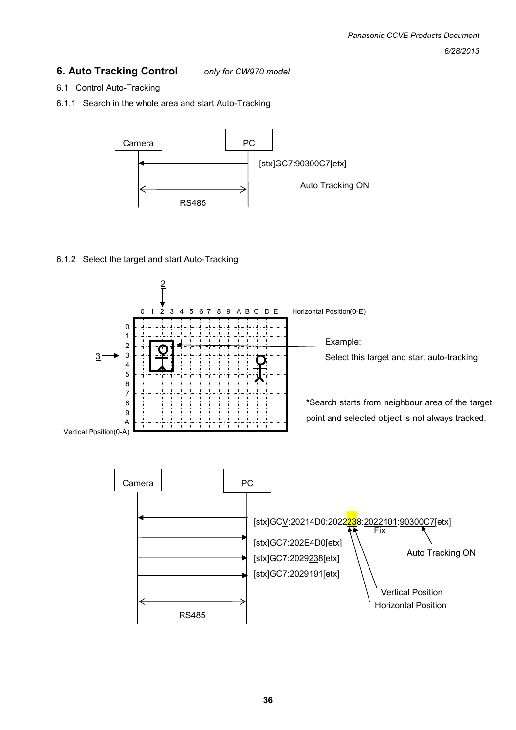#### **6. Auto Tracking Control** *only for CW970 model*

- 6.1 Control Auto-Tracking
- 6.1.1 Search in the whole area and start Auto-Tracking

![](_page_35_Figure_4.jpeg)

#### 6.1.2 Select the target and start Auto-Tracking

![](_page_35_Figure_6.jpeg)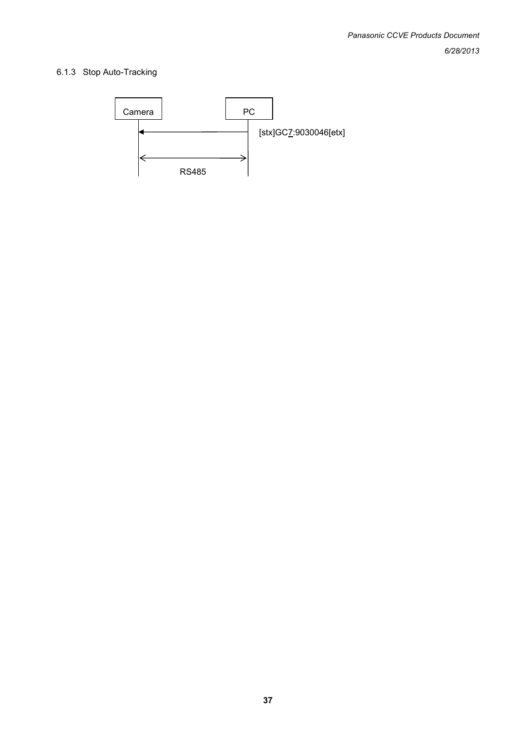#### 6.1.3 Stop Auto-Tracking

![](_page_36_Figure_2.jpeg)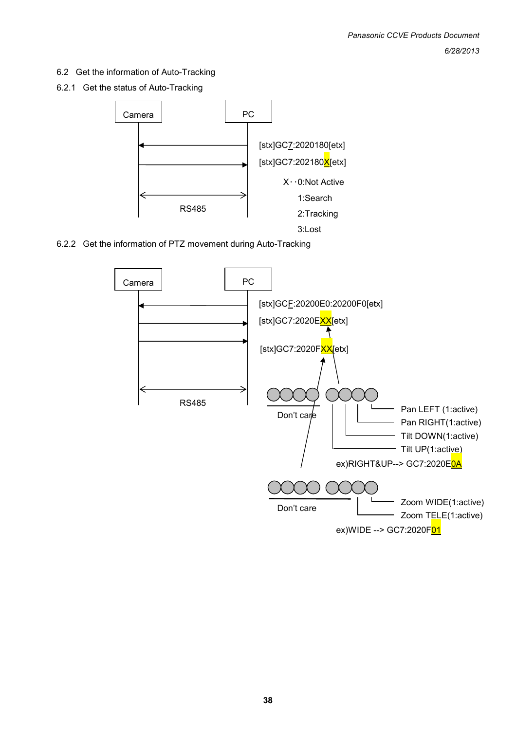6.2 Get the information of Auto-Tracking

6.2.1 Get the status of Auto-Tracking

![](_page_37_Figure_3.jpeg)

6.2.2 Get the information of PTZ movement during Auto-Tracking

![](_page_37_Figure_5.jpeg)